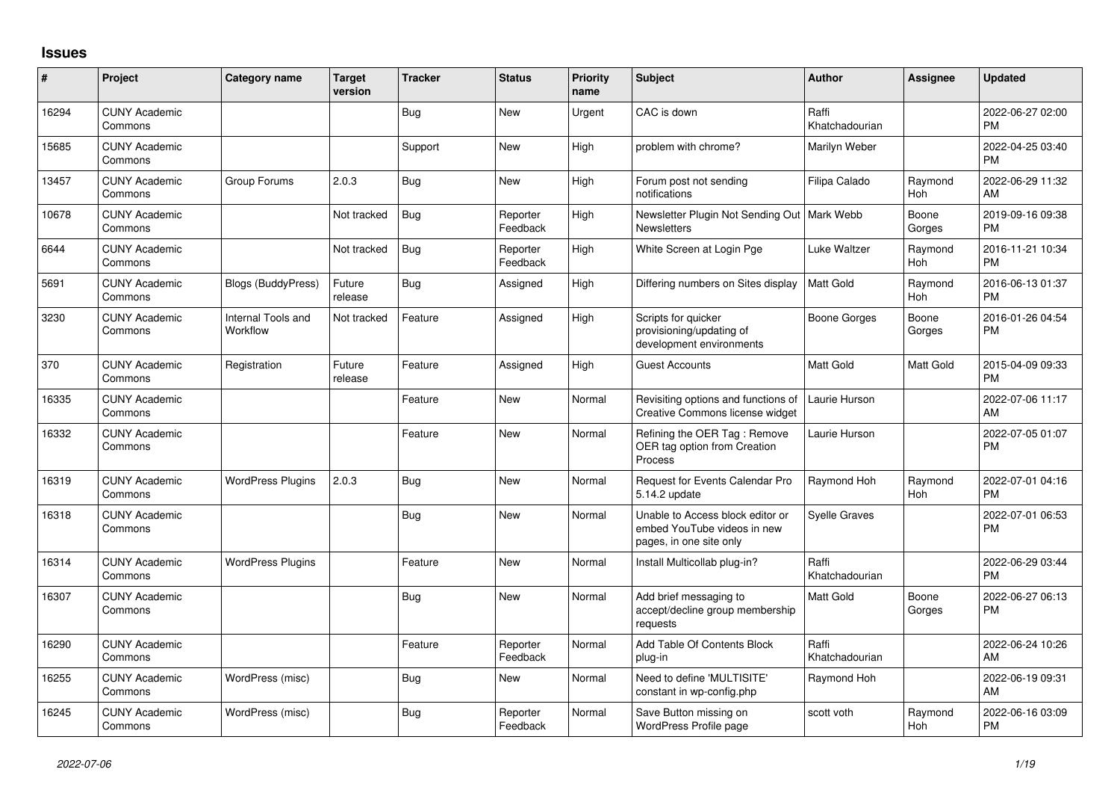## **Issues**

| #     | Project                         | <b>Category name</b>           | <b>Target</b><br>version | <b>Tracker</b> | <b>Status</b>        | Priority<br>name | <b>Subject</b>                                                                             | Author                  | Assignee        | <b>Updated</b>                |
|-------|---------------------------------|--------------------------------|--------------------------|----------------|----------------------|------------------|--------------------------------------------------------------------------------------------|-------------------------|-----------------|-------------------------------|
| 16294 | <b>CUNY Academic</b><br>Commons |                                |                          | Bug            | <b>New</b>           | Urgent           | CAC is down                                                                                | Raffi<br>Khatchadourian |                 | 2022-06-27 02:00<br><b>PM</b> |
| 15685 | <b>CUNY Academic</b><br>Commons |                                |                          | Support        | <b>New</b>           | High             | problem with chrome?                                                                       | Marilyn Weber           |                 | 2022-04-25 03:40<br><b>PM</b> |
| 13457 | <b>CUNY Academic</b><br>Commons | Group Forums                   | 2.0.3                    | <b>Bug</b>     | New                  | High             | Forum post not sending<br>notifications                                                    | Filipa Calado           | Raymond<br>Hoh  | 2022-06-29 11:32<br>AM        |
| 10678 | <b>CUNY Academic</b><br>Commons |                                | Not tracked              | Bug            | Reporter<br>Feedback | High             | Newsletter Plugin Not Sending Out   Mark Webb<br><b>Newsletters</b>                        |                         | Boone<br>Gorges | 2019-09-16 09:38<br><b>PM</b> |
| 6644  | <b>CUNY Academic</b><br>Commons |                                | Not tracked              | <b>Bug</b>     | Reporter<br>Feedback | High             | White Screen at Login Pge                                                                  | Luke Waltzer            | Raymond<br>Hoh  | 2016-11-21 10:34<br><b>PM</b> |
| 5691  | <b>CUNY Academic</b><br>Commons | <b>Blogs (BuddyPress)</b>      | Future<br>release        | Bug            | Assigned             | High             | Differing numbers on Sites display                                                         | Matt Gold               | Raymond<br>Hoh  | 2016-06-13 01:37<br><b>PM</b> |
| 3230  | <b>CUNY Academic</b><br>Commons | Internal Tools and<br>Workflow | Not tracked              | Feature        | Assigned             | High             | Scripts for quicker<br>provisioning/updating of<br>development environments                | Boone Gorges            | Boone<br>Gorges | 2016-01-26 04:54<br><b>PM</b> |
| 370   | <b>CUNY Academic</b><br>Commons | Registration                   | Future<br>release        | Feature        | Assigned             | High             | <b>Guest Accounts</b>                                                                      | <b>Matt Gold</b>        | Matt Gold       | 2015-04-09 09:33<br><b>PM</b> |
| 16335 | <b>CUNY Academic</b><br>Commons |                                |                          | Feature        | New                  | Normal           | Revisiting options and functions of<br>Creative Commons license widget                     | Laurie Hurson           |                 | 2022-07-06 11:17<br>AM        |
| 16332 | <b>CUNY Academic</b><br>Commons |                                |                          | Feature        | <b>New</b>           | Normal           | Refining the OER Tag: Remove<br>OER tag option from Creation<br>Process                    | Laurie Hurson           |                 | 2022-07-05 01:07<br><b>PM</b> |
| 16319 | <b>CUNY Academic</b><br>Commons | <b>WordPress Plugins</b>       | 2.0.3                    | Bug            | New                  | Normal           | Request for Events Calendar Pro<br>5.14.2 update                                           | Raymond Hoh             | Raymond<br>Hoh  | 2022-07-01 04:16<br><b>PM</b> |
| 16318 | <b>CUNY Academic</b><br>Commons |                                |                          | <b>Bug</b>     | New                  | Normal           | Unable to Access block editor or<br>embed YouTube videos in new<br>pages, in one site only | <b>Syelle Graves</b>    |                 | 2022-07-01 06:53<br><b>PM</b> |
| 16314 | <b>CUNY Academic</b><br>Commons | <b>WordPress Plugins</b>       |                          | Feature        | <b>New</b>           | Normal           | Install Multicollab plug-in?                                                               | Raffi<br>Khatchadourian |                 | 2022-06-29 03:44<br><b>PM</b> |
| 16307 | <b>CUNY Academic</b><br>Commons |                                |                          | <b>Bug</b>     | New                  | Normal           | Add brief messaging to<br>accept/decline group membership<br>requests                      | Matt Gold               | Boone<br>Gorges | 2022-06-27 06:13<br><b>PM</b> |
| 16290 | <b>CUNY Academic</b><br>Commons |                                |                          | Feature        | Reporter<br>Feedback | Normal           | Add Table Of Contents Block<br>plug-in                                                     | Raffi<br>Khatchadourian |                 | 2022-06-24 10:26<br>AM        |
| 16255 | <b>CUNY Academic</b><br>Commons | WordPress (misc)               |                          | Bug            | New                  | Normal           | Need to define 'MULTISITE'<br>constant in wp-config.php                                    | Raymond Hoh             |                 | 2022-06-19 09:31<br>AM        |
| 16245 | <b>CUNY Academic</b><br>Commons | WordPress (misc)               |                          | Bug            | Reporter<br>Feedback | Normal           | Save Button missing on<br>WordPress Profile page                                           | scott voth              | Raymond<br>Hoh  | 2022-06-16 03:09<br><b>PM</b> |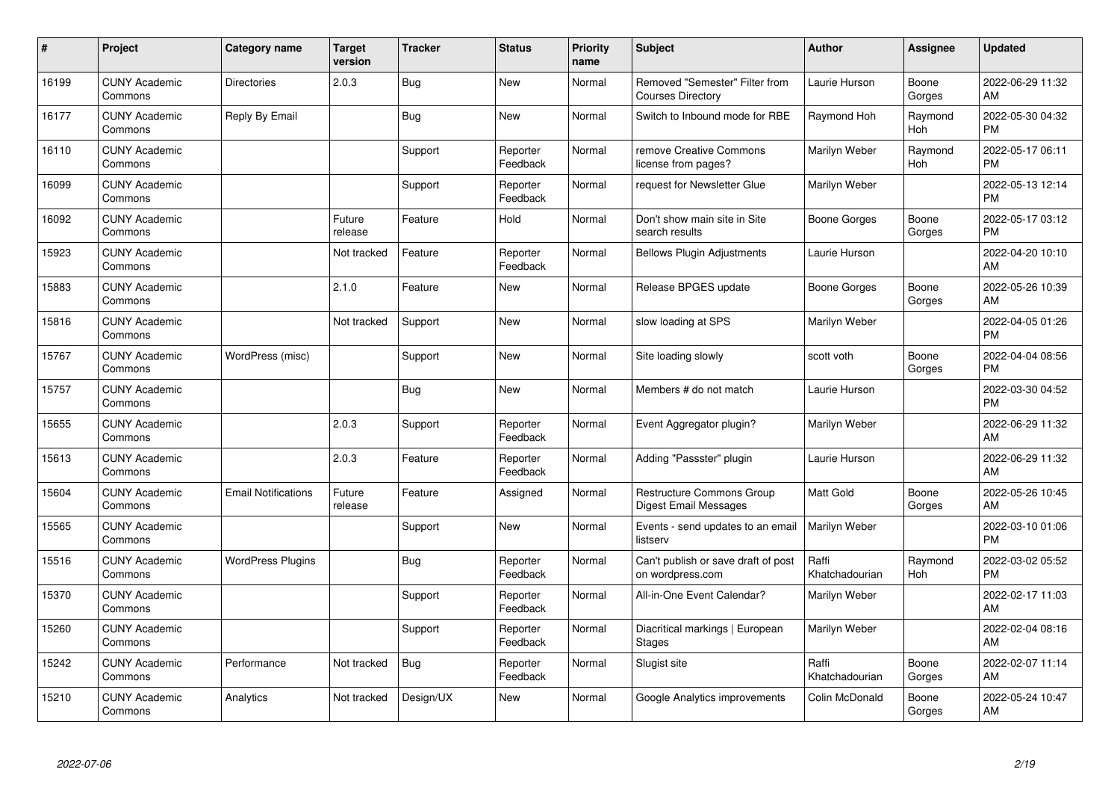| #     | Project                         | Category name              | <b>Target</b><br>version | <b>Tracker</b> | <b>Status</b>        | Priority<br>name | Subject                                                    | Author                  | <b>Assignee</b> | <b>Updated</b>                |
|-------|---------------------------------|----------------------------|--------------------------|----------------|----------------------|------------------|------------------------------------------------------------|-------------------------|-----------------|-------------------------------|
| 16199 | <b>CUNY Academic</b><br>Commons | <b>Directories</b>         | 2.0.3                    | <b>Bug</b>     | <b>New</b>           | Normal           | Removed "Semester" Filter from<br><b>Courses Directory</b> | Laurie Hurson           | Boone<br>Gorges | 2022-06-29 11:32<br>AM        |
| 16177 | <b>CUNY Academic</b><br>Commons | Reply By Email             |                          | Bug            | <b>New</b>           | Normal           | Switch to Inbound mode for RBE                             | Raymond Hoh             | Raymond<br>Hoh  | 2022-05-30 04:32<br><b>PM</b> |
| 16110 | <b>CUNY Academic</b><br>Commons |                            |                          | Support        | Reporter<br>Feedback | Normal           | remove Creative Commons<br>license from pages?             | Marilyn Weber           | Raymond<br>Hoh  | 2022-05-17 06:11<br><b>PM</b> |
| 16099 | <b>CUNY Academic</b><br>Commons |                            |                          | Support        | Reporter<br>Feedback | Normal           | request for Newsletter Glue                                | Marilyn Weber           |                 | 2022-05-13 12:14<br><b>PM</b> |
| 16092 | <b>CUNY Academic</b><br>Commons |                            | Future<br>release        | Feature        | Hold                 | Normal           | Don't show main site in Site<br>search results             | Boone Gorges            | Boone<br>Gorges | 2022-05-17 03:12<br><b>PM</b> |
| 15923 | <b>CUNY Academic</b><br>Commons |                            | Not tracked              | Feature        | Reporter<br>Feedback | Normal           | <b>Bellows Plugin Adjustments</b>                          | Laurie Hurson           |                 | 2022-04-20 10:10<br>AM        |
| 15883 | <b>CUNY Academic</b><br>Commons |                            | 2.1.0                    | Feature        | <b>New</b>           | Normal           | Release BPGES update                                       | Boone Gorges            | Boone<br>Gorges | 2022-05-26 10:39<br>AM        |
| 15816 | <b>CUNY Academic</b><br>Commons |                            | Not tracked              | Support        | <b>New</b>           | Normal           | slow loading at SPS                                        | Marilyn Weber           |                 | 2022-04-05 01:26<br><b>PM</b> |
| 15767 | <b>CUNY Academic</b><br>Commons | WordPress (misc)           |                          | Support        | <b>New</b>           | Normal           | Site loading slowly                                        | scott voth              | Boone<br>Gorges | 2022-04-04 08:56<br><b>PM</b> |
| 15757 | <b>CUNY Academic</b><br>Commons |                            |                          | <b>Bug</b>     | <b>New</b>           | Normal           | Members # do not match                                     | Laurie Hurson           |                 | 2022-03-30 04:52<br><b>PM</b> |
| 15655 | <b>CUNY Academic</b><br>Commons |                            | 2.0.3                    | Support        | Reporter<br>Feedback | Normal           | Event Aggregator plugin?                                   | Marilyn Weber           |                 | 2022-06-29 11:32<br>AM        |
| 15613 | <b>CUNY Academic</b><br>Commons |                            | 2.0.3                    | Feature        | Reporter<br>Feedback | Normal           | Adding "Passster" plugin                                   | Laurie Hurson           |                 | 2022-06-29 11:32<br>AM        |
| 15604 | <b>CUNY Academic</b><br>Commons | <b>Email Notifications</b> | Future<br>release        | Feature        | Assigned             | Normal           | Restructure Commons Group<br>Digest Email Messages         | <b>Matt Gold</b>        | Boone<br>Gorges | 2022-05-26 10:45<br>AM        |
| 15565 | <b>CUNY Academic</b><br>Commons |                            |                          | Support        | New                  | Normal           | Events - send updates to an email<br>listserv              | Marilyn Weber           |                 | 2022-03-10 01:06<br><b>PM</b> |
| 15516 | <b>CUNY Academic</b><br>Commons | <b>WordPress Plugins</b>   |                          | <b>Bug</b>     | Reporter<br>Feedback | Normal           | Can't publish or save draft of post<br>on wordpress.com    | Raffi<br>Khatchadourian | Raymond<br>Hoh  | 2022-03-02 05:52<br><b>PM</b> |
| 15370 | <b>CUNY Academic</b><br>Commons |                            |                          | Support        | Reporter<br>Feedback | Normal           | All-in-One Event Calendar?                                 | Marilyn Weber           |                 | 2022-02-17 11:03<br>AM        |
| 15260 | <b>CUNY Academic</b><br>Commons |                            |                          | Support        | Reporter<br>Feedback | Normal           | Diacritical markings   European<br>Stages                  | Marilyn Weber           |                 | 2022-02-04 08:16<br>AM        |
| 15242 | <b>CUNY Academic</b><br>Commons | Performance                | Not tracked              | Bug            | Reporter<br>Feedback | Normal           | Slugist site                                               | Raffi<br>Khatchadourian | Boone<br>Gorges | 2022-02-07 11:14<br>AM        |
| 15210 | <b>CUNY Academic</b><br>Commons | Analytics                  | Not tracked              | Design/UX      | <b>New</b>           | Normal           | Google Analytics improvements                              | Colin McDonald          | Boone<br>Gorges | 2022-05-24 10:47<br>AM        |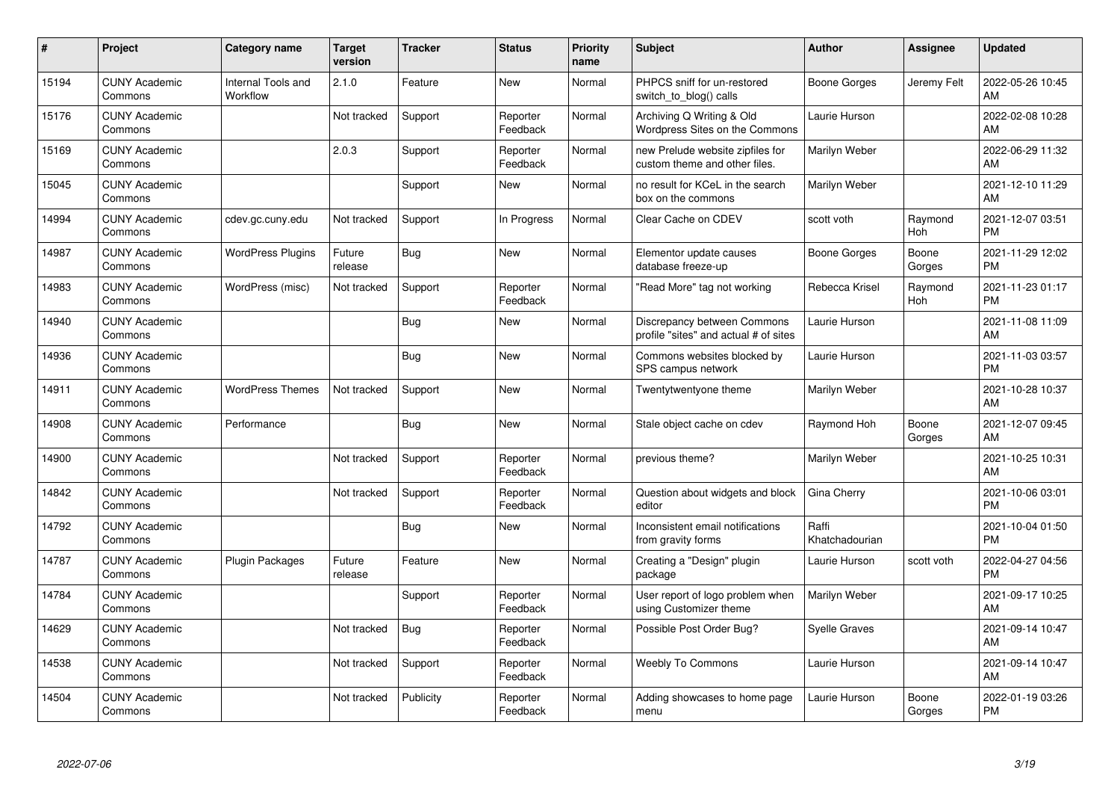| #     | Project                         | Category name                         | <b>Target</b><br>version | <b>Tracker</b> | <b>Status</b>        | <b>Priority</b><br>name | <b>Subject</b>                                                       | Author                  | Assignee        | <b>Updated</b>                |
|-------|---------------------------------|---------------------------------------|--------------------------|----------------|----------------------|-------------------------|----------------------------------------------------------------------|-------------------------|-----------------|-------------------------------|
| 15194 | <b>CUNY Academic</b><br>Commons | <b>Internal Tools and</b><br>Workflow | 2.1.0                    | Feature        | <b>New</b>           | Normal                  | PHPCS sniff for un-restored<br>switch to blog() calls                | Boone Gorges            | Jeremy Felt     | 2022-05-26 10:45<br>AM        |
| 15176 | <b>CUNY Academic</b><br>Commons |                                       | Not tracked              | Support        | Reporter<br>Feedback | Normal                  | Archiving Q Writing & Old<br>Wordpress Sites on the Commons          | Laurie Hurson           |                 | 2022-02-08 10:28<br>AM        |
| 15169 | <b>CUNY Academic</b><br>Commons |                                       | 2.0.3                    | Support        | Reporter<br>Feedback | Normal                  | new Prelude website zipfiles for<br>custom theme and other files.    | Marilyn Weber           |                 | 2022-06-29 11:32<br>AM        |
| 15045 | <b>CUNY Academic</b><br>Commons |                                       |                          | Support        | New                  | Normal                  | no result for KCeL in the search<br>box on the commons               | Marilyn Weber           |                 | 2021-12-10 11:29<br>AM        |
| 14994 | <b>CUNY Academic</b><br>Commons | cdev.gc.cuny.edu                      | Not tracked              | Support        | In Progress          | Normal                  | Clear Cache on CDEV                                                  | scott voth              | Raymond<br>Hoh  | 2021-12-07 03:51<br><b>PM</b> |
| 14987 | <b>CUNY Academic</b><br>Commons | <b>WordPress Plugins</b>              | Future<br>release        | Bug            | <b>New</b>           | Normal                  | Elementor update causes<br>database freeze-up                        | Boone Gorges            | Boone<br>Gorges | 2021-11-29 12:02<br><b>PM</b> |
| 14983 | <b>CUNY Academic</b><br>Commons | WordPress (misc)                      | Not tracked              | Support        | Reporter<br>Feedback | Normal                  | "Read More" tag not working                                          | Rebecca Krisel          | Raymond<br>Hoh  | 2021-11-23 01:17<br><b>PM</b> |
| 14940 | <b>CUNY Academic</b><br>Commons |                                       |                          | <b>Bug</b>     | <b>New</b>           | Normal                  | Discrepancy between Commons<br>profile "sites" and actual # of sites | Laurie Hurson           |                 | 2021-11-08 11:09<br>AM        |
| 14936 | <b>CUNY Academic</b><br>Commons |                                       |                          | <b>Bug</b>     | <b>New</b>           | Normal                  | Commons websites blocked by<br>SPS campus network                    | Laurie Hurson           |                 | 2021-11-03 03:57<br><b>PM</b> |
| 14911 | <b>CUNY Academic</b><br>Commons | <b>WordPress Themes</b>               | Not tracked              | Support        | <b>New</b>           | Normal                  | Twentytwentyone theme                                                | Marilyn Weber           |                 | 2021-10-28 10:37<br>AM        |
| 14908 | <b>CUNY Academic</b><br>Commons | Performance                           |                          | <b>Bug</b>     | <b>New</b>           | Normal                  | Stale object cache on cdev                                           | Raymond Hoh             | Boone<br>Gorges | 2021-12-07 09:45<br>AM        |
| 14900 | <b>CUNY Academic</b><br>Commons |                                       | Not tracked              | Support        | Reporter<br>Feedback | Normal                  | previous theme?                                                      | Marilyn Weber           |                 | 2021-10-25 10:31<br>AM        |
| 14842 | <b>CUNY Academic</b><br>Commons |                                       | Not tracked              | Support        | Reporter<br>Feedback | Normal                  | Question about widgets and block<br>editor                           | Gina Cherry             |                 | 2021-10-06 03:01<br><b>PM</b> |
| 14792 | <b>CUNY Academic</b><br>Commons |                                       |                          | <b>Bug</b>     | <b>New</b>           | Normal                  | Inconsistent email notifications<br>from gravity forms               | Raffi<br>Khatchadourian |                 | 2021-10-04 01:50<br><b>PM</b> |
| 14787 | <b>CUNY Academic</b><br>Commons | <b>Plugin Packages</b>                | Future<br>release        | Feature        | <b>New</b>           | Normal                  | Creating a "Design" plugin<br>package                                | Laurie Hurson           | scott voth      | 2022-04-27 04:56<br><b>PM</b> |
| 14784 | <b>CUNY Academic</b><br>Commons |                                       |                          | Support        | Reporter<br>Feedback | Normal                  | User report of logo problem when<br>using Customizer theme           | Marilyn Weber           |                 | 2021-09-17 10:25<br>AM        |
| 14629 | <b>CUNY Academic</b><br>Commons |                                       | Not tracked              | <b>Bug</b>     | Reporter<br>Feedback | Normal                  | Possible Post Order Bug?                                             | <b>Syelle Graves</b>    |                 | 2021-09-14 10:47<br>AM        |
| 14538 | <b>CUNY Academic</b><br>Commons |                                       | Not tracked              | Support        | Reporter<br>Feedback | Normal                  | <b>Weebly To Commons</b>                                             | Laurie Hurson           |                 | 2021-09-14 10:47<br>AM        |
| 14504 | <b>CUNY Academic</b><br>Commons |                                       | Not tracked              | Publicity      | Reporter<br>Feedback | Normal                  | Adding showcases to home page<br>menu                                | Laurie Hurson           | Boone<br>Gorges | 2022-01-19 03:26<br><b>PM</b> |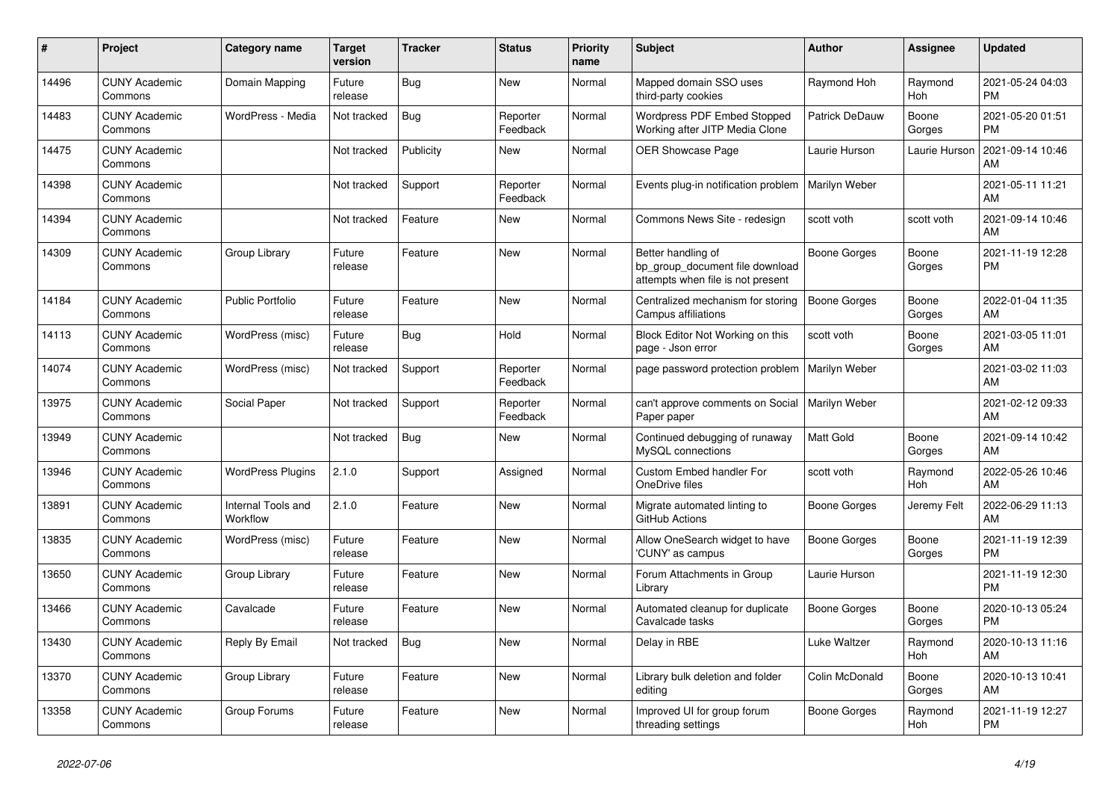| #     | <b>Project</b>                  | Category name                  | <b>Target</b><br>version | <b>Tracker</b> | <b>Status</b>        | Priority<br>name | <b>Subject</b>                                                                             | Author           | Assignee        | <b>Updated</b>                |
|-------|---------------------------------|--------------------------------|--------------------------|----------------|----------------------|------------------|--------------------------------------------------------------------------------------------|------------------|-----------------|-------------------------------|
| 14496 | <b>CUNY Academic</b><br>Commons | Domain Mapping                 | Future<br>release        | Bug            | New                  | Normal           | Mapped domain SSO uses<br>third-party cookies                                              | Raymond Hoh      | Raymond<br>Hoh  | 2021-05-24 04:03<br><b>PM</b> |
| 14483 | <b>CUNY Academic</b><br>Commons | WordPress - Media              | Not tracked              | <b>Bug</b>     | Reporter<br>Feedback | Normal           | <b>Wordpress PDF Embed Stopped</b><br>Working after JITP Media Clone                       | Patrick DeDauw   | Boone<br>Gorges | 2021-05-20 01:51<br><b>PM</b> |
| 14475 | <b>CUNY Academic</b><br>Commons |                                | Not tracked              | Publicity      | New                  | Normal           | <b>OER Showcase Page</b>                                                                   | Laurie Hurson    | Laurie Hurson   | 2021-09-14 10:46<br>AM        |
| 14398 | <b>CUNY Academic</b><br>Commons |                                | Not tracked              | Support        | Reporter<br>Feedback | Normal           | Events plug-in notification problem                                                        | Marilyn Weber    |                 | 2021-05-11 11:21<br>AM        |
| 14394 | <b>CUNY Academic</b><br>Commons |                                | Not tracked              | Feature        | New                  | Normal           | Commons News Site - redesign                                                               | scott voth       | scott voth      | 2021-09-14 10:46<br>AM        |
| 14309 | <b>CUNY Academic</b><br>Commons | Group Library                  | Future<br>release        | Feature        | New                  | Normal           | Better handling of<br>bp_group_document file download<br>attempts when file is not present | Boone Gorges     | Boone<br>Gorges | 2021-11-19 12:28<br><b>PM</b> |
| 14184 | <b>CUNY Academic</b><br>Commons | <b>Public Portfolio</b>        | Future<br>release        | Feature        | <b>New</b>           | Normal           | Centralized mechanism for storing<br>Campus affiliations                                   | Boone Gorges     | Boone<br>Gorges | 2022-01-04 11:35<br>AM        |
| 14113 | <b>CUNY Academic</b><br>Commons | WordPress (misc)               | Future<br>release        | Bug            | Hold                 | Normal           | Block Editor Not Working on this<br>page - Json error                                      | scott voth       | Boone<br>Gorges | 2021-03-05 11:01<br>AM        |
| 14074 | <b>CUNY Academic</b><br>Commons | WordPress (misc)               | Not tracked              | Support        | Reporter<br>Feedback | Normal           | page password protection problem                                                           | Marilyn Weber    |                 | 2021-03-02 11:03<br>AM        |
| 13975 | <b>CUNY Academic</b><br>Commons | Social Paper                   | Not tracked              | Support        | Reporter<br>Feedback | Normal           | can't approve comments on Social   Marilyn Weber<br>Paper paper                            |                  |                 | 2021-02-12 09:33<br>AM        |
| 13949 | <b>CUNY Academic</b><br>Commons |                                | Not tracked              | Bug            | New                  | Normal           | Continued debugging of runaway<br>MySQL connections                                        | <b>Matt Gold</b> | Boone<br>Gorges | 2021-09-14 10:42<br>AM        |
| 13946 | <b>CUNY Academic</b><br>Commons | <b>WordPress Plugins</b>       | 2.1.0                    | Support        | Assigned             | Normal           | Custom Embed handler For<br>OneDrive files                                                 | scott voth       | Raymond<br>Hoh  | 2022-05-26 10:46<br>AM        |
| 13891 | <b>CUNY Academic</b><br>Commons | Internal Tools and<br>Workflow | 2.1.0                    | Feature        | <b>New</b>           | Normal           | Migrate automated linting to<br>GitHub Actions                                             | Boone Gorges     | Jeremy Felt     | 2022-06-29 11:13<br>AM        |
| 13835 | <b>CUNY Academic</b><br>Commons | WordPress (misc)               | Future<br>release        | Feature        | New                  | Normal           | Allow OneSearch widget to have<br>'CUNY' as campus                                         | Boone Gorges     | Boone<br>Gorges | 2021-11-19 12:39<br><b>PM</b> |
| 13650 | <b>CUNY Academic</b><br>Commons | Group Library                  | Future<br>release        | Feature        | <b>New</b>           | Normal           | Forum Attachments in Group<br>Library                                                      | Laurie Hurson    |                 | 2021-11-19 12:30<br><b>PM</b> |
| 13466 | <b>CUNY Academic</b><br>Commons | Cavalcade                      | Future<br>release        | Feature        | New                  | Normal           | Automated cleanup for duplicate<br>Cavalcade tasks                                         | Boone Gorges     | Boone<br>Gorges | 2020-10-13 05:24<br><b>PM</b> |
| 13430 | <b>CUNY Academic</b><br>Commons | Reply By Email                 | Not tracked              | <b>Bug</b>     | New                  | Normal           | Delay in RBE                                                                               | Luke Waltzer     | Raymond<br>Hoh  | 2020-10-13 11:16<br>AM        |
| 13370 | <b>CUNY Academic</b><br>Commons | Group Library                  | Future<br>release        | Feature        | New                  | Normal           | Library bulk deletion and folder<br>editing                                                | Colin McDonald   | Boone<br>Gorges | 2020-10-13 10:41<br>AM        |
| 13358 | <b>CUNY Academic</b><br>Commons | Group Forums                   | Future<br>release        | Feature        | <b>New</b>           | Normal           | Improved UI for group forum<br>threading settings                                          | Boone Gorges     | Raymond<br>Hoh  | 2021-11-19 12:27<br><b>PM</b> |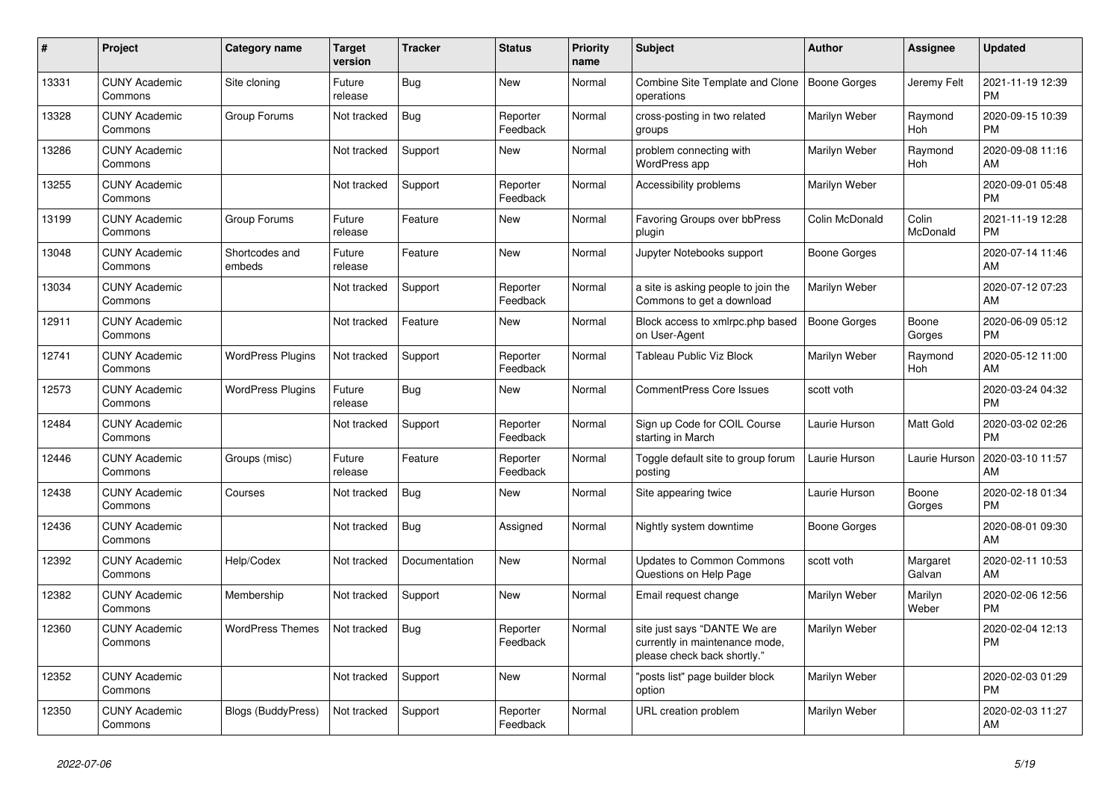| #     | <b>Project</b>                  | <b>Category name</b>      | <b>Target</b><br>version | <b>Tracker</b> | <b>Status</b>        | <b>Priority</b><br>name | <b>Subject</b>                                                                                | <b>Author</b>       | Assignee           | <b>Updated</b>                |
|-------|---------------------------------|---------------------------|--------------------------|----------------|----------------------|-------------------------|-----------------------------------------------------------------------------------------------|---------------------|--------------------|-------------------------------|
| 13331 | <b>CUNY Academic</b><br>Commons | Site cloning              | Future<br>release        | Bug            | New                  | Normal                  | Combine Site Template and Clone<br>operations                                                 | Boone Gorges        | Jeremy Felt        | 2021-11-19 12:39<br><b>PM</b> |
| 13328 | <b>CUNY Academic</b><br>Commons | Group Forums              | Not tracked              | <b>Bug</b>     | Reporter<br>Feedback | Normal                  | cross-posting in two related<br>groups                                                        | Marilyn Weber       | Raymond<br>Hoh     | 2020-09-15 10:39<br><b>PM</b> |
| 13286 | <b>CUNY Academic</b><br>Commons |                           | Not tracked              | Support        | <b>New</b>           | Normal                  | problem connecting with<br>WordPress app                                                      | Marilyn Weber       | Raymond<br>Hoh     | 2020-09-08 11:16<br>AM        |
| 13255 | <b>CUNY Academic</b><br>Commons |                           | Not tracked              | Support        | Reporter<br>Feedback | Normal                  | Accessibility problems                                                                        | Marilyn Weber       |                    | 2020-09-01 05:48<br><b>PM</b> |
| 13199 | <b>CUNY Academic</b><br>Commons | Group Forums              | Future<br>release        | Feature        | New                  | Normal                  | Favoring Groups over bbPress<br>plugin                                                        | Colin McDonald      | Colin<br>McDonald  | 2021-11-19 12:28<br><b>PM</b> |
| 13048 | <b>CUNY Academic</b><br>Commons | Shortcodes and<br>embeds  | Future<br>release        | Feature        | New                  | Normal                  | Jupyter Notebooks support                                                                     | Boone Gorges        |                    | 2020-07-14 11:46<br>AM        |
| 13034 | <b>CUNY Academic</b><br>Commons |                           | Not tracked              | Support        | Reporter<br>Feedback | Normal                  | a site is asking people to join the<br>Commons to get a download                              | Marilyn Weber       |                    | 2020-07-12 07:23<br>AM        |
| 12911 | <b>CUNY Academic</b><br>Commons |                           | Not tracked              | Feature        | <b>New</b>           | Normal                  | Block access to xmlrpc.php based<br>on User-Agent                                             | <b>Boone Gorges</b> | Boone<br>Gorges    | 2020-06-09 05:12<br><b>PM</b> |
| 12741 | <b>CUNY Academic</b><br>Commons | <b>WordPress Plugins</b>  | Not tracked              | Support        | Reporter<br>Feedback | Normal                  | Tableau Public Viz Block                                                                      | Marilyn Weber       | Raymond<br>Hoh     | 2020-05-12 11:00<br>AM        |
| 12573 | <b>CUNY Academic</b><br>Commons | <b>WordPress Plugins</b>  | Future<br>release        | Bug            | New                  | Normal                  | <b>CommentPress Core Issues</b>                                                               | scott voth          |                    | 2020-03-24 04:32<br><b>PM</b> |
| 12484 | <b>CUNY Academic</b><br>Commons |                           | Not tracked              | Support        | Reporter<br>Feedback | Normal                  | Sign up Code for COIL Course<br>starting in March                                             | Laurie Hurson       | Matt Gold          | 2020-03-02 02:26<br><b>PM</b> |
| 12446 | <b>CUNY Academic</b><br>Commons | Groups (misc)             | Future<br>release        | Feature        | Reporter<br>Feedback | Normal                  | Toggle default site to group forum<br>posting                                                 | Laurie Hurson       | Laurie Hurson      | 2020-03-10 11:57<br>AM        |
| 12438 | <b>CUNY Academic</b><br>Commons | Courses                   | Not tracked              | Bug            | New                  | Normal                  | Site appearing twice                                                                          | Laurie Hurson       | Boone<br>Gorges    | 2020-02-18 01:34<br><b>PM</b> |
| 12436 | <b>CUNY Academic</b><br>Commons |                           | Not tracked              | Bug            | Assigned             | Normal                  | Nightly system downtime                                                                       | Boone Gorges        |                    | 2020-08-01 09:30<br>AM        |
| 12392 | <b>CUNY Academic</b><br>Commons | Help/Codex                | Not tracked              | Documentation  | <b>New</b>           | Normal                  | <b>Updates to Common Commons</b><br>Questions on Help Page                                    | scott voth          | Margaret<br>Galvan | 2020-02-11 10:53<br>AM        |
| 12382 | <b>CUNY Academic</b><br>Commons | Membership                | Not tracked              | Support        | New                  | Normal                  | Email request change                                                                          | Marilyn Weber       | Marilyn<br>Weber   | 2020-02-06 12:56<br><b>PM</b> |
| 12360 | <b>CUNY Academic</b><br>Commons | <b>WordPress Themes</b>   | Not tracked              | Bug            | Reporter<br>Feedback | Normal                  | site just says "DANTE We are<br>currently in maintenance mode,<br>please check back shortly." | Marilyn Weber       |                    | 2020-02-04 12:13<br><b>PM</b> |
| 12352 | <b>CUNY Academic</b><br>Commons |                           | Not tracked              | Support        | New                  | Normal                  | "posts list" page builder block<br>option                                                     | Marilyn Weber       |                    | 2020-02-03 01:29<br><b>PM</b> |
| 12350 | <b>CUNY Academic</b><br>Commons | <b>Blogs (BuddyPress)</b> | Not tracked              | Support        | Reporter<br>Feedback | Normal                  | URL creation problem                                                                          | Marilyn Weber       |                    | 2020-02-03 11:27<br>AM        |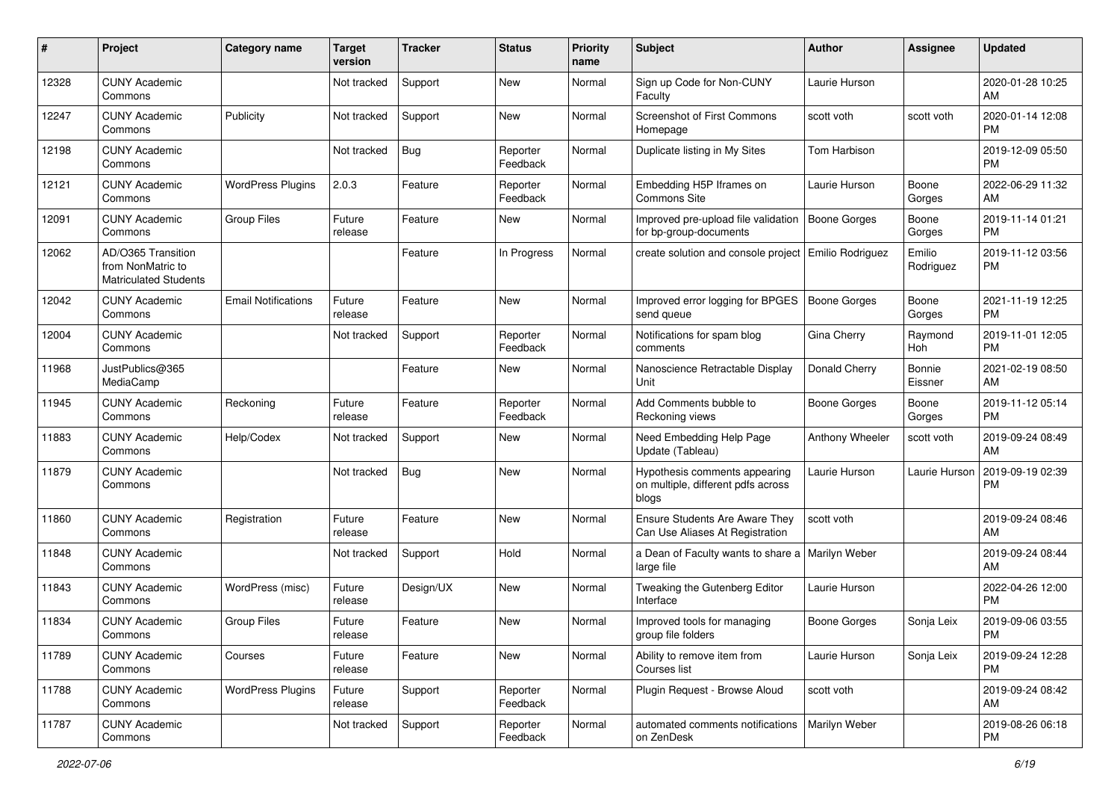| #     | Project                                                                 | <b>Category name</b>       | <b>Target</b><br>version | <b>Tracker</b> | <b>Status</b>        | <b>Priority</b><br>name | <b>Subject</b>                                                               | Author              | <b>Assignee</b>     | <b>Updated</b>                |
|-------|-------------------------------------------------------------------------|----------------------------|--------------------------|----------------|----------------------|-------------------------|------------------------------------------------------------------------------|---------------------|---------------------|-------------------------------|
| 12328 | <b>CUNY Academic</b><br>Commons                                         |                            | Not tracked              | Support        | New                  | Normal                  | Sign up Code for Non-CUNY<br>Faculty                                         | Laurie Hurson       |                     | 2020-01-28 10:25<br>AM        |
| 12247 | <b>CUNY Academic</b><br>Commons                                         | Publicity                  | Not tracked              | Support        | New                  | Normal                  | <b>Screenshot of First Commons</b><br>Homepage                               | scott voth          | scott voth          | 2020-01-14 12:08<br><b>PM</b> |
| 12198 | <b>CUNY Academic</b><br>Commons                                         |                            | Not tracked              | <b>Bug</b>     | Reporter<br>Feedback | Normal                  | Duplicate listing in My Sites                                                | Tom Harbison        |                     | 2019-12-09 05:50<br><b>PM</b> |
| 12121 | <b>CUNY Academic</b><br>Commons                                         | <b>WordPress Plugins</b>   | 2.0.3                    | Feature        | Reporter<br>Feedback | Normal                  | Embedding H5P Iframes on<br><b>Commons Site</b>                              | Laurie Hurson       | Boone<br>Gorges     | 2022-06-29 11:32<br>AM        |
| 12091 | <b>CUNY Academic</b><br>Commons                                         | <b>Group Files</b>         | Future<br>release        | Feature        | New                  | Normal                  | Improved pre-upload file validation<br>for bp-group-documents                | Boone Gorges        | Boone<br>Gorges     | 2019-11-14 01:21<br><b>PM</b> |
| 12062 | AD/O365 Transition<br>from NonMatric to<br><b>Matriculated Students</b> |                            |                          | Feature        | In Progress          | Normal                  | create solution and console project   Emilio Rodriguez                       |                     | Emilio<br>Rodriguez | 2019-11-12 03:56<br><b>PM</b> |
| 12042 | <b>CUNY Academic</b><br>Commons                                         | <b>Email Notifications</b> | Future<br>release        | Feature        | New                  | Normal                  | Improved error logging for BPGES   Boone Gorges<br>send queue                |                     | Boone<br>Gorges     | 2021-11-19 12:25<br><b>PM</b> |
| 12004 | <b>CUNY Academic</b><br>Commons                                         |                            | Not tracked              | Support        | Reporter<br>Feedback | Normal                  | Notifications for spam blog<br>comments                                      | Gina Cherry         | Raymond<br>Hoh      | 2019-11-01 12:05<br><b>PM</b> |
| 11968 | JustPublics@365<br>MediaCamp                                            |                            |                          | Feature        | New                  | Normal                  | Nanoscience Retractable Display<br>Unit                                      | Donald Cherry       | Bonnie<br>Eissner   | 2021-02-19 08:50<br>AM        |
| 11945 | <b>CUNY Academic</b><br>Commons                                         | Reckoning                  | Future<br>release        | Feature        | Reporter<br>Feedback | Normal                  | Add Comments bubble to<br>Reckoning views                                    | <b>Boone Gorges</b> | Boone<br>Gorges     | 2019-11-12 05:14<br><b>PM</b> |
| 11883 | <b>CUNY Academic</b><br>Commons                                         | Help/Codex                 | Not tracked              | Support        | New                  | Normal                  | Need Embedding Help Page<br>Update (Tableau)                                 | Anthony Wheeler     | scott voth          | 2019-09-24 08:49<br>AM        |
| 11879 | <b>CUNY Academic</b><br>Commons                                         |                            | Not tracked              | Bug            | New                  | Normal                  | Hypothesis comments appearing<br>on multiple, different pdfs across<br>blogs | Laurie Hurson       | Laurie Hurson       | 2019-09-19 02:39<br><b>PM</b> |
| 11860 | <b>CUNY Academic</b><br>Commons                                         | Registration               | Future<br>release        | Feature        | <b>New</b>           | Normal                  | Ensure Students Are Aware They<br>Can Use Aliases At Registration            | scott voth          |                     | 2019-09-24 08:46<br>AM        |
| 11848 | <b>CUNY Academic</b><br>Commons                                         |                            | Not tracked              | Support        | Hold                 | Normal                  | a Dean of Faculty wants to share a   Marilyn Weber<br>large file             |                     |                     | 2019-09-24 08:44<br>AM        |
| 11843 | <b>CUNY Academic</b><br>Commons                                         | WordPress (misc)           | Future<br>release        | Design/UX      | New                  | Normal                  | Tweaking the Gutenberg Editor<br>Interface                                   | Laurie Hurson       |                     | 2022-04-26 12:00<br><b>PM</b> |
| 11834 | <b>CUNY Academic</b><br>Commons                                         | Group Files                | Future<br>release        | Feature        | New                  | Normal                  | Improved tools for managing<br>group file folders                            | <b>Boone Gorges</b> | Sonja Leix          | 2019-09-06 03:55<br>PM        |
| 11789 | <b>CUNY Academic</b><br>Commons                                         | Courses                    | Future<br>release        | Feature        | New                  | Normal                  | Ability to remove item from<br>Courses list                                  | Laurie Hurson       | Sonja Leix          | 2019-09-24 12:28<br><b>PM</b> |
| 11788 | <b>CUNY Academic</b><br>Commons                                         | <b>WordPress Plugins</b>   | Future<br>release        | Support        | Reporter<br>Feedback | Normal                  | Plugin Request - Browse Aloud                                                | scott voth          |                     | 2019-09-24 08:42<br>AM        |
| 11787 | <b>CUNY Academic</b><br>Commons                                         |                            | Not tracked              | Support        | Reporter<br>Feedback | Normal                  | automated comments notifications<br>on ZenDesk                               | Marilyn Weber       |                     | 2019-08-26 06:18<br><b>PM</b> |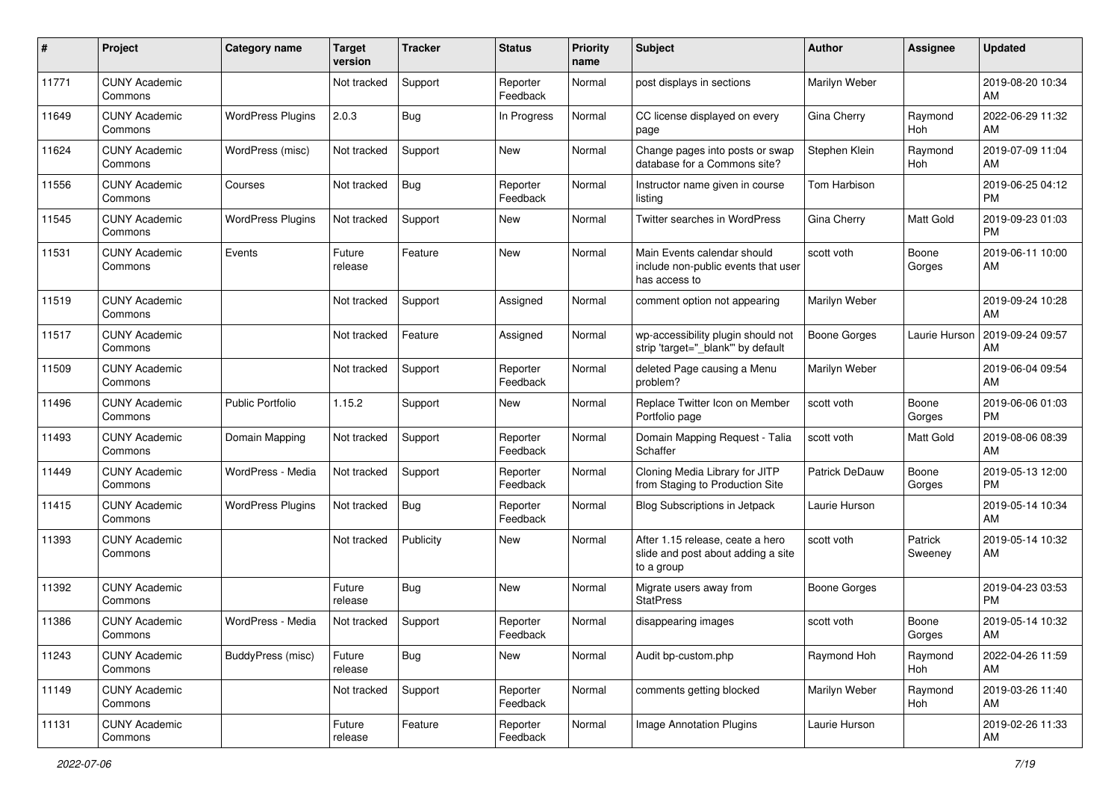| $\#$  | Project                         | <b>Category name</b>     | <b>Target</b><br>version | <b>Tracker</b> | <b>Status</b>        | <b>Priority</b><br>name | <b>Subject</b>                                                                       | Author              | <b>Assignee</b>    | <b>Updated</b>                |
|-------|---------------------------------|--------------------------|--------------------------|----------------|----------------------|-------------------------|--------------------------------------------------------------------------------------|---------------------|--------------------|-------------------------------|
| 11771 | <b>CUNY Academic</b><br>Commons |                          | Not tracked              | Support        | Reporter<br>Feedback | Normal                  | post displays in sections                                                            | Marilyn Weber       |                    | 2019-08-20 10:34<br>AM        |
| 11649 | <b>CUNY Academic</b><br>Commons | <b>WordPress Plugins</b> | 2.0.3                    | <b>Bug</b>     | In Progress          | Normal                  | CC license displayed on every<br>page                                                | Gina Cherry         | Raymond<br>Hoh     | 2022-06-29 11:32<br>AM        |
| 11624 | <b>CUNY Academic</b><br>Commons | WordPress (misc)         | Not tracked              | Support        | New                  | Normal                  | Change pages into posts or swap<br>database for a Commons site?                      | Stephen Klein       | Raymond<br>Hoh     | 2019-07-09 11:04<br>AM        |
| 11556 | <b>CUNY Academic</b><br>Commons | Courses                  | Not tracked              | Bug            | Reporter<br>Feedback | Normal                  | Instructor name given in course<br>listing                                           | Tom Harbison        |                    | 2019-06-25 04:12<br><b>PM</b> |
| 11545 | <b>CUNY Academic</b><br>Commons | <b>WordPress Plugins</b> | Not tracked              | Support        | New                  | Normal                  | Twitter searches in WordPress                                                        | Gina Cherry         | Matt Gold          | 2019-09-23 01:03<br><b>PM</b> |
| 11531 | <b>CUNY Academic</b><br>Commons | Events                   | Future<br>release        | Feature        | New                  | Normal                  | Main Events calendar should<br>include non-public events that user<br>has access to  | scott voth          | Boone<br>Gorges    | 2019-06-11 10:00<br>AM        |
| 11519 | <b>CUNY Academic</b><br>Commons |                          | Not tracked              | Support        | Assigned             | Normal                  | comment option not appearing                                                         | Marilyn Weber       |                    | 2019-09-24 10:28<br>AM        |
| 11517 | <b>CUNY Academic</b><br>Commons |                          | Not tracked              | Feature        | Assigned             | Normal                  | wp-accessibility plugin should not<br>strip 'target=" blank" by default              | <b>Boone Gorges</b> | Laurie Hurson      | 2019-09-24 09:57<br>AM        |
| 11509 | <b>CUNY Academic</b><br>Commons |                          | Not tracked              | Support        | Reporter<br>Feedback | Normal                  | deleted Page causing a Menu<br>problem?                                              | Marilyn Weber       |                    | 2019-06-04 09:54<br>AM        |
| 11496 | <b>CUNY Academic</b><br>Commons | <b>Public Portfolio</b>  | 1.15.2                   | Support        | New                  | Normal                  | Replace Twitter Icon on Member<br>Portfolio page                                     | scott voth          | Boone<br>Gorges    | 2019-06-06 01:03<br>PM        |
| 11493 | <b>CUNY Academic</b><br>Commons | Domain Mapping           | Not tracked              | Support        | Reporter<br>Feedback | Normal                  | Domain Mapping Request - Talia<br>Schaffer                                           | scott voth          | Matt Gold          | 2019-08-06 08:39<br>AM        |
| 11449 | <b>CUNY Academic</b><br>Commons | WordPress - Media        | Not tracked              | Support        | Reporter<br>Feedback | Normal                  | Cloning Media Library for JITP<br>from Staging to Production Site                    | Patrick DeDauw      | Boone<br>Gorges    | 2019-05-13 12:00<br>PM        |
| 11415 | <b>CUNY Academic</b><br>Commons | <b>WordPress Plugins</b> | Not tracked              | Bug            | Reporter<br>Feedback | Normal                  | Blog Subscriptions in Jetpack                                                        | Laurie Hurson       |                    | 2019-05-14 10:34<br>AM        |
| 11393 | <b>CUNY Academic</b><br>Commons |                          | Not tracked              | Publicity      | New                  | Normal                  | After 1.15 release, ceate a hero<br>slide and post about adding a site<br>to a group | scott voth          | Patrick<br>Sweeney | 2019-05-14 10:32<br>AM        |
| 11392 | <b>CUNY Academic</b><br>Commons |                          | Future<br>release        | <b>Bug</b>     | New                  | Normal                  | Migrate users away from<br><b>StatPress</b>                                          | <b>Boone Gorges</b> |                    | 2019-04-23 03:53<br>PM        |
| 11386 | <b>CUNY Academic</b><br>Commons | WordPress - Media        | Not tracked              | Support        | Reporter<br>Feedback | Normal                  | disappearing images                                                                  | scott voth          | Boone<br>Gorges    | 2019-05-14 10:32<br>AM        |
| 11243 | <b>CUNY Academic</b><br>Commons | BuddyPress (misc)        | Future<br>release        | Bug            | New                  | Normal                  | Audit bp-custom.php                                                                  | Raymond Hoh         | Raymond<br>Hoh     | 2022-04-26 11:59<br>AM        |
| 11149 | <b>CUNY Academic</b><br>Commons |                          | Not tracked              | Support        | Reporter<br>Feedback | Normal                  | comments getting blocked                                                             | Marilyn Weber       | Raymond<br>Hoh     | 2019-03-26 11:40<br>AM        |
| 11131 | <b>CUNY Academic</b><br>Commons |                          | Future<br>release        | Feature        | Reporter<br>Feedback | Normal                  | Image Annotation Plugins                                                             | Laurie Hurson       |                    | 2019-02-26 11:33<br>AM        |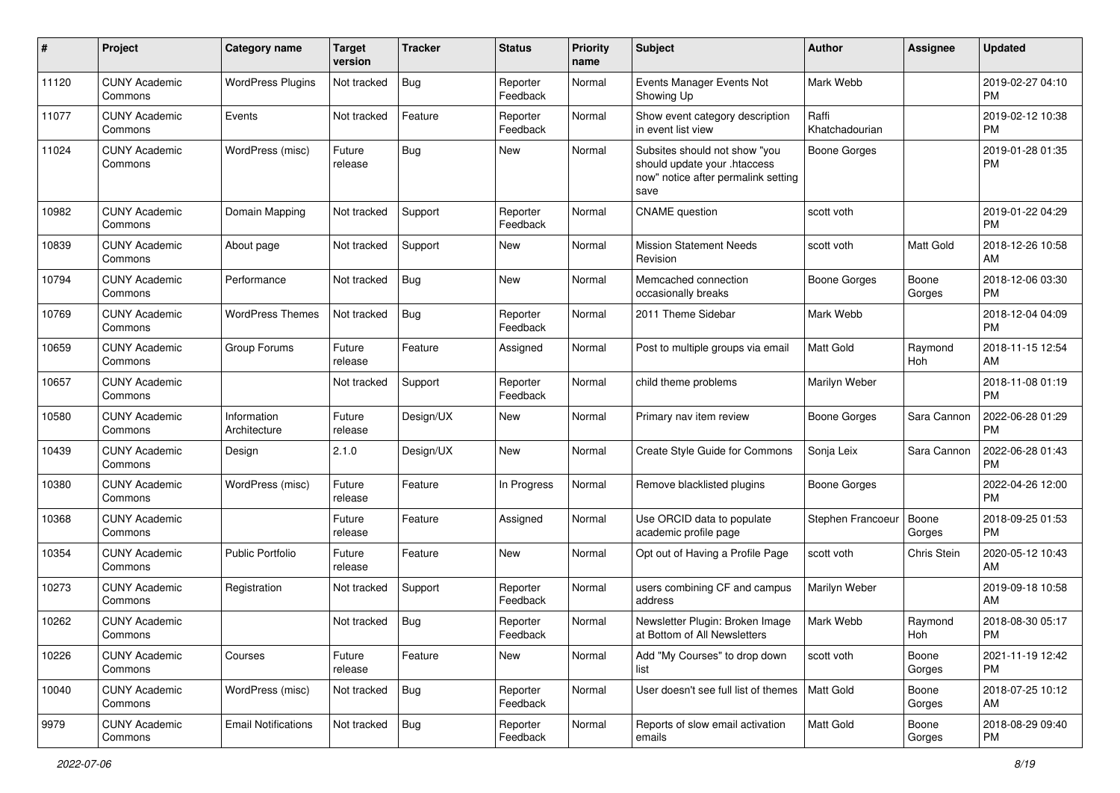| #     | Project                         | <b>Category name</b>        | <b>Target</b><br>version | <b>Tracker</b> | <b>Status</b>        | <b>Priority</b><br>name | <b>Subject</b>                                                                                               | Author                  | <b>Assignee</b> | <b>Updated</b>                |
|-------|---------------------------------|-----------------------------|--------------------------|----------------|----------------------|-------------------------|--------------------------------------------------------------------------------------------------------------|-------------------------|-----------------|-------------------------------|
| 11120 | <b>CUNY Academic</b><br>Commons | <b>WordPress Plugins</b>    | Not tracked              | <b>Bug</b>     | Reporter<br>Feedback | Normal                  | Events Manager Events Not<br>Showing Up                                                                      | Mark Webb               |                 | 2019-02-27 04:10<br>PM        |
| 11077 | <b>CUNY Academic</b><br>Commons | Events                      | Not tracked              | Feature        | Reporter<br>Feedback | Normal                  | Show event category description<br>in event list view                                                        | Raffi<br>Khatchadourian |                 | 2019-02-12 10:38<br><b>PM</b> |
| 11024 | <b>CUNY Academic</b><br>Commons | WordPress (misc)            | Future<br>release        | Bug            | New                  | Normal                  | Subsites should not show "you<br>should update your .htaccess<br>now" notice after permalink setting<br>save | <b>Boone Gorges</b>     |                 | 2019-01-28 01:35<br><b>PM</b> |
| 10982 | <b>CUNY Academic</b><br>Commons | Domain Mapping              | Not tracked              | Support        | Reporter<br>Feedback | Normal                  | <b>CNAME</b> question                                                                                        | scott voth              |                 | 2019-01-22 04:29<br><b>PM</b> |
| 10839 | <b>CUNY Academic</b><br>Commons | About page                  | Not tracked              | Support        | New                  | Normal                  | <b>Mission Statement Needs</b><br>Revision                                                                   | scott voth              | Matt Gold       | 2018-12-26 10:58<br>AM        |
| 10794 | <b>CUNY Academic</b><br>Commons | Performance                 | Not tracked              | Bug            | New                  | Normal                  | Memcached connection<br>occasionally breaks                                                                  | Boone Gorges            | Boone<br>Gorges | 2018-12-06 03:30<br><b>PM</b> |
| 10769 | <b>CUNY Academic</b><br>Commons | <b>WordPress Themes</b>     | Not tracked              | <b>Bug</b>     | Reporter<br>Feedback | Normal                  | 2011 Theme Sidebar                                                                                           | Mark Webb               |                 | 2018-12-04 04:09<br><b>PM</b> |
| 10659 | <b>CUNY Academic</b><br>Commons | Group Forums                | Future<br>release        | Feature        | Assigned             | Normal                  | Post to multiple groups via email                                                                            | <b>Matt Gold</b>        | Raymond<br>Hoh  | 2018-11-15 12:54<br>AM        |
| 10657 | <b>CUNY Academic</b><br>Commons |                             | Not tracked              | Support        | Reporter<br>Feedback | Normal                  | child theme problems                                                                                         | Marilyn Weber           |                 | 2018-11-08 01:19<br><b>PM</b> |
| 10580 | <b>CUNY Academic</b><br>Commons | Information<br>Architecture | Future<br>release        | Design/UX      | New                  | Normal                  | Primary nav item review                                                                                      | <b>Boone Gorges</b>     | Sara Cannon     | 2022-06-28 01:29<br><b>PM</b> |
| 10439 | <b>CUNY Academic</b><br>Commons | Design                      | 2.1.0                    | Design/UX      | New                  | Normal                  | Create Style Guide for Commons                                                                               | Sonja Leix              | Sara Cannon     | 2022-06-28 01:43<br><b>PM</b> |
| 10380 | <b>CUNY Academic</b><br>Commons | WordPress (misc)            | Future<br>release        | Feature        | In Progress          | Normal                  | Remove blacklisted plugins                                                                                   | Boone Gorges            |                 | 2022-04-26 12:00<br><b>PM</b> |
| 10368 | <b>CUNY Academic</b><br>Commons |                             | Future<br>release        | Feature        | Assigned             | Normal                  | Use ORCID data to populate<br>academic profile page                                                          | Stephen Francoeur       | Boone<br>Gorges | 2018-09-25 01:53<br><b>PM</b> |
| 10354 | <b>CUNY Academic</b><br>Commons | <b>Public Portfolio</b>     | Future<br>release        | Feature        | New                  | Normal                  | Opt out of Having a Profile Page                                                                             | scott voth              | Chris Stein     | 2020-05-12 10:43<br>AM        |
| 10273 | <b>CUNY Academic</b><br>Commons | Registration                | Not tracked              | Support        | Reporter<br>Feedback | Normal                  | users combining CF and campus<br>address                                                                     | Marilyn Weber           |                 | 2019-09-18 10:58<br>AM        |
| 10262 | <b>CUNY Academic</b><br>Commons |                             | Not tracked              | Bug            | Reporter<br>Feedback | Normal                  | Newsletter Plugin: Broken Image<br>at Bottom of All Newsletters                                              | Mark Webb               | Raymond<br>Hoh  | 2018-08-30 05:17<br>PM        |
| 10226 | <b>CUNY Academic</b><br>Commons | Courses                     | Future<br>release        | Feature        | New                  | Normal                  | Add "My Courses" to drop down<br>list                                                                        | scott voth              | Boone<br>Gorges | 2021-11-19 12:42<br>PM        |
| 10040 | <b>CUNY Academic</b><br>Commons | WordPress (misc)            | Not tracked              | Bug            | Reporter<br>Feedback | Normal                  | User doesn't see full list of themes                                                                         | Matt Gold               | Boone<br>Gorges | 2018-07-25 10:12<br>AM        |
| 9979  | <b>CUNY Academic</b><br>Commons | <b>Email Notifications</b>  | Not tracked              | Bug            | Reporter<br>Feedback | Normal                  | Reports of slow email activation<br>emails                                                                   | Matt Gold               | Boone<br>Gorges | 2018-08-29 09:40<br><b>PM</b> |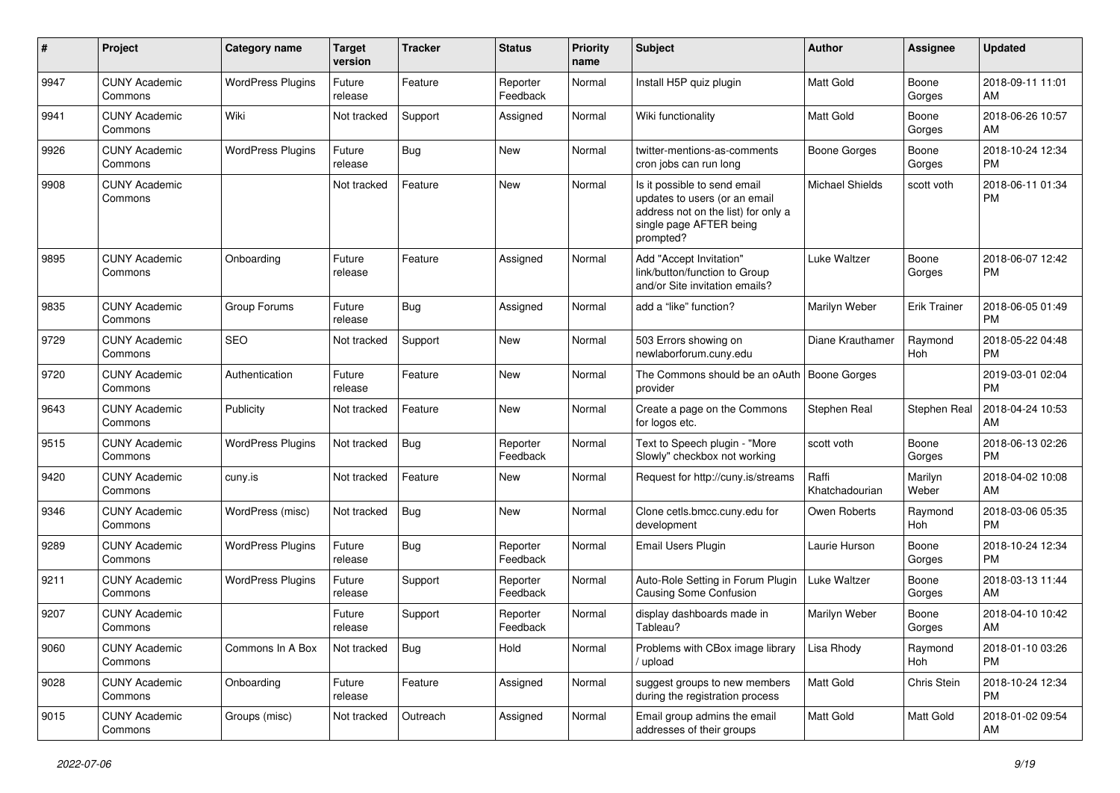| #    | Project                         | <b>Category name</b>     | <b>Target</b><br>version | <b>Tracker</b> | <b>Status</b>        | <b>Priority</b><br>name | <b>Subject</b>                                                                                                                               | Author                  | <b>Assignee</b>     | <b>Updated</b>                |
|------|---------------------------------|--------------------------|--------------------------|----------------|----------------------|-------------------------|----------------------------------------------------------------------------------------------------------------------------------------------|-------------------------|---------------------|-------------------------------|
| 9947 | <b>CUNY Academic</b><br>Commons | <b>WordPress Plugins</b> | Future<br>release        | Feature        | Reporter<br>Feedback | Normal                  | Install H5P quiz plugin                                                                                                                      | <b>Matt Gold</b>        | Boone<br>Gorges     | 2018-09-11 11:01<br>AM        |
| 9941 | <b>CUNY Academic</b><br>Commons | Wiki                     | Not tracked              | Support        | Assigned             | Normal                  | Wiki functionality                                                                                                                           | <b>Matt Gold</b>        | Boone<br>Gorges     | 2018-06-26 10:57<br>AM        |
| 9926 | <b>CUNY Academic</b><br>Commons | <b>WordPress Plugins</b> | Future<br>release        | <b>Bug</b>     | New                  | Normal                  | twitter-mentions-as-comments<br>cron jobs can run long                                                                                       | <b>Boone Gorges</b>     | Boone<br>Gorges     | 2018-10-24 12:34<br><b>PM</b> |
| 9908 | <b>CUNY Academic</b><br>Commons |                          | Not tracked              | Feature        | New                  | Normal                  | Is it possible to send email<br>updates to users (or an email<br>address not on the list) for only a<br>single page AFTER being<br>prompted? | <b>Michael Shields</b>  | scott voth          | 2018-06-11 01:34<br><b>PM</b> |
| 9895 | <b>CUNY Academic</b><br>Commons | Onboarding               | Future<br>release        | Feature        | Assigned             | Normal                  | Add "Accept Invitation"<br>link/button/function to Group<br>and/or Site invitation emails?                                                   | Luke Waltzer            | Boone<br>Gorges     | 2018-06-07 12:42<br><b>PM</b> |
| 9835 | <b>CUNY Academic</b><br>Commons | Group Forums             | Future<br>release        | <b>Bug</b>     | Assigned             | Normal                  | add a "like" function?                                                                                                                       | Marilyn Weber           | <b>Erik Trainer</b> | 2018-06-05 01:49<br><b>PM</b> |
| 9729 | <b>CUNY Academic</b><br>Commons | <b>SEO</b>               | Not tracked              | Support        | New                  | Normal                  | 503 Errors showing on<br>newlaborforum.cuny.edu                                                                                              | Diane Krauthamer        | Raymond<br>Hoh      | 2018-05-22 04:48<br><b>PM</b> |
| 9720 | <b>CUNY Academic</b><br>Commons | Authentication           | Future<br>release        | Feature        | <b>New</b>           | Normal                  | The Commons should be an oAuth<br>provider                                                                                                   | <b>Boone Gorges</b>     |                     | 2019-03-01 02:04<br><b>PM</b> |
| 9643 | <b>CUNY Academic</b><br>Commons | Publicity                | Not tracked              | Feature        | <b>New</b>           | Normal                  | Create a page on the Commons<br>for logos etc.                                                                                               | Stephen Real            | Stephen Real        | 2018-04-24 10:53<br>AM        |
| 9515 | <b>CUNY Academic</b><br>Commons | <b>WordPress Plugins</b> | Not tracked              | Bug            | Reporter<br>Feedback | Normal                  | Text to Speech plugin - "More<br>Slowly" checkbox not working                                                                                | scott voth              | Boone<br>Gorges     | 2018-06-13 02:26<br><b>PM</b> |
| 9420 | <b>CUNY Academic</b><br>Commons | cuny.is                  | Not tracked              | Feature        | New                  | Normal                  | Request for http://cuny.is/streams                                                                                                           | Raffi<br>Khatchadourian | Marilyn<br>Weber    | 2018-04-02 10:08<br>AM        |
| 9346 | <b>CUNY Academic</b><br>Commons | WordPress (misc)         | Not tracked              | Bug            | <b>New</b>           | Normal                  | Clone cetls.bmcc.cuny.edu for<br>development                                                                                                 | Owen Roberts            | Raymond<br>Hoh      | 2018-03-06 05:35<br><b>PM</b> |
| 9289 | <b>CUNY Academic</b><br>Commons | <b>WordPress Plugins</b> | Future<br>release        | <b>Bug</b>     | Reporter<br>Feedback | Normal                  | Email Users Plugin                                                                                                                           | Laurie Hurson           | Boone<br>Gorges     | 2018-10-24 12:34<br><b>PM</b> |
| 9211 | <b>CUNY Academic</b><br>Commons | <b>WordPress Plugins</b> | Future<br>release        | Support        | Reporter<br>Feedback | Normal                  | Auto-Role Setting in Forum Plugin<br><b>Causing Some Confusion</b>                                                                           | Luke Waltzer            | Boone<br>Gorges     | 2018-03-13 11:44<br>AM        |
| 9207 | <b>CUNY Academic</b><br>Commons |                          | Future<br>release        | Support        | Reporter<br>Feedback | Normal                  | display dashboards made in<br>Tableau?                                                                                                       | Marilyn Weber           | Boone<br>Gorges     | 2018-04-10 10:42<br>AM        |
| 9060 | <b>CUNY Academic</b><br>Commons | Commons In A Box         | Not tracked              | Bug            | Hold                 | Normal                  | Problems with CBox image library<br>upload                                                                                                   | Lisa Rhody              | Raymond<br>Hoh      | 2018-01-10 03:26<br><b>PM</b> |
| 9028 | <b>CUNY Academic</b><br>Commons | Onboarding               | Future<br>release        | Feature        | Assigned             | Normal                  | suggest groups to new members<br>during the registration process                                                                             | Matt Gold               | Chris Stein         | 2018-10-24 12:34<br><b>PM</b> |
| 9015 | <b>CUNY Academic</b><br>Commons | Groups (misc)            | Not tracked              | Outreach       | Assigned             | Normal                  | Email group admins the email<br>addresses of their groups                                                                                    | Matt Gold               | Matt Gold           | 2018-01-02 09:54<br>AM        |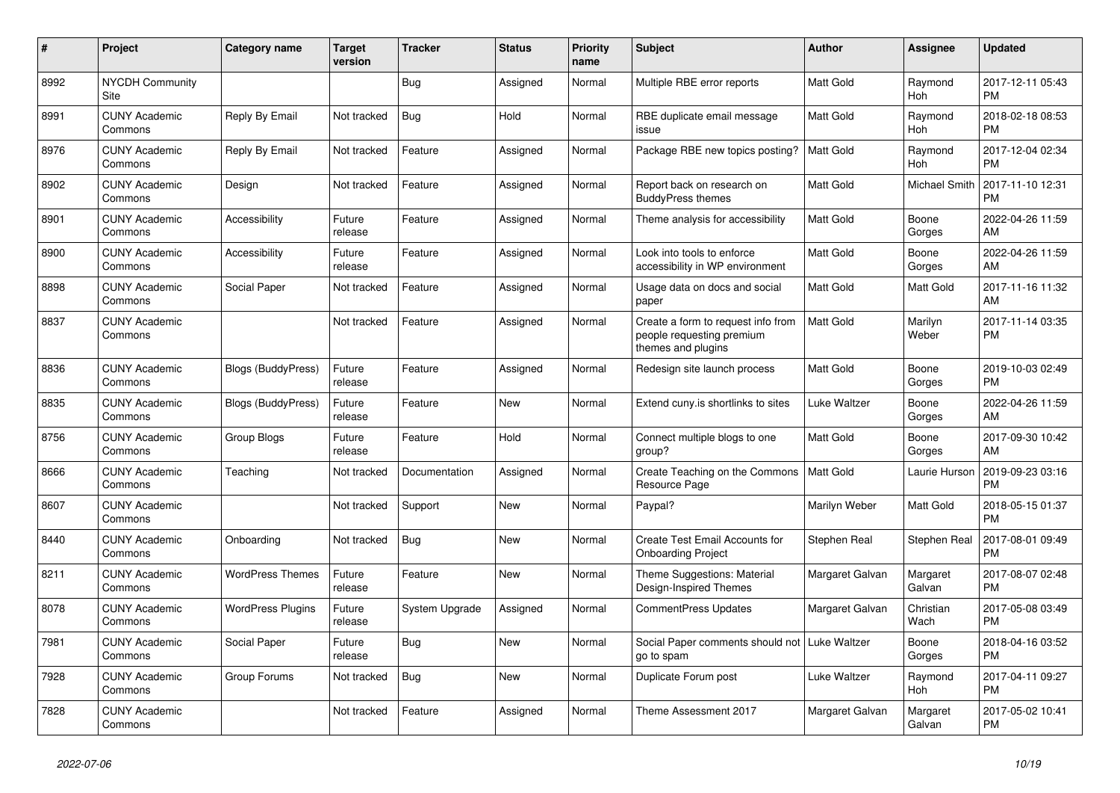| #    | Project                         | <b>Category name</b>      | <b>Target</b><br>version | <b>Tracker</b> | <b>Status</b> | <b>Priority</b><br>name | <b>Subject</b>                                                                        | <b>Author</b>    | <b>Assignee</b>       | <b>Updated</b>                |
|------|---------------------------------|---------------------------|--------------------------|----------------|---------------|-------------------------|---------------------------------------------------------------------------------------|------------------|-----------------------|-------------------------------|
| 8992 | <b>NYCDH Community</b><br>Site  |                           |                          | <b>Bug</b>     | Assigned      | Normal                  | Multiple RBE error reports                                                            | Matt Gold        | Raymond<br>Hoh        | 2017-12-11 05:43<br><b>PM</b> |
| 8991 | <b>CUNY Academic</b><br>Commons | Reply By Email            | Not tracked              | Bug            | Hold          | Normal                  | RBE duplicate email message<br>issue                                                  | <b>Matt Gold</b> | Raymond<br>Hoh        | 2018-02-18 08:53<br><b>PM</b> |
| 8976 | <b>CUNY Academic</b><br>Commons | Reply By Email            | Not tracked              | Feature        | Assigned      | Normal                  | Package RBE new topics posting?                                                       | <b>Matt Gold</b> | Raymond<br><b>Hoh</b> | 2017-12-04 02:34<br><b>PM</b> |
| 8902 | <b>CUNY Academic</b><br>Commons | Design                    | Not tracked              | Feature        | Assigned      | Normal                  | Report back on research on<br><b>BuddyPress themes</b>                                | Matt Gold        | <b>Michael Smith</b>  | 2017-11-10 12:31<br><b>PM</b> |
| 8901 | <b>CUNY Academic</b><br>Commons | Accessibility             | Future<br>release        | Feature        | Assigned      | Normal                  | Theme analysis for accessibility                                                      | Matt Gold        | Boone<br>Gorges       | 2022-04-26 11:59<br>AM        |
| 8900 | <b>CUNY Academic</b><br>Commons | Accessibility             | Future<br>release        | Feature        | Assigned      | Normal                  | Look into tools to enforce<br>accessibility in WP environment                         | Matt Gold        | Boone<br>Gorges       | 2022-04-26 11:59<br>AM        |
| 8898 | <b>CUNY Academic</b><br>Commons | Social Paper              | Not tracked              | Feature        | Assigned      | Normal                  | Usage data on docs and social<br>paper                                                | <b>Matt Gold</b> | Matt Gold             | 2017-11-16 11:32<br>AM        |
| 8837 | <b>CUNY Academic</b><br>Commons |                           | Not tracked              | Feature        | Assigned      | Normal                  | Create a form to request info from<br>people requesting premium<br>themes and plugins | <b>Matt Gold</b> | Marilyn<br>Weber      | 2017-11-14 03:35<br><b>PM</b> |
| 8836 | <b>CUNY Academic</b><br>Commons | <b>Blogs (BuddyPress)</b> | Future<br>release        | Feature        | Assigned      | Normal                  | Redesign site launch process                                                          | Matt Gold        | Boone<br>Gorges       | 2019-10-03 02:49<br><b>PM</b> |
| 8835 | <b>CUNY Academic</b><br>Commons | Blogs (BuddyPress)        | Future<br>release        | Feature        | <b>New</b>    | Normal                  | Extend cuny.is shortlinks to sites                                                    | Luke Waltzer     | Boone<br>Gorges       | 2022-04-26 11:59<br>AM        |
| 8756 | <b>CUNY Academic</b><br>Commons | Group Blogs               | Future<br>release        | Feature        | Hold          | Normal                  | Connect multiple blogs to one<br>group?                                               | Matt Gold        | Boone<br>Gorges       | 2017-09-30 10:42<br>AM        |
| 8666 | <b>CUNY Academic</b><br>Commons | Teaching                  | Not tracked              | Documentation  | Assigned      | Normal                  | Create Teaching on the Commons<br>Resource Page                                       | Matt Gold        | Laurie Hurson         | 2019-09-23 03:16<br><b>PM</b> |
| 8607 | <b>CUNY Academic</b><br>Commons |                           | Not tracked              | Support        | <b>New</b>    | Normal                  | Paypal?                                                                               | Marilyn Weber    | Matt Gold             | 2018-05-15 01:37<br><b>PM</b> |
| 8440 | <b>CUNY Academic</b><br>Commons | Onboarding                | Not tracked              | <b>Bug</b>     | New           | Normal                  | Create Test Email Accounts for<br><b>Onboarding Project</b>                           | Stephen Real     | Stephen Real          | 2017-08-01 09:49<br><b>PM</b> |
| 8211 | <b>CUNY Academic</b><br>Commons | <b>WordPress Themes</b>   | Future<br>release        | Feature        | New           | Normal                  | Theme Suggestions: Material<br>Design-Inspired Themes                                 | Margaret Galvan  | Margaret<br>Galvan    | 2017-08-07 02:48<br><b>PM</b> |
| 8078 | <b>CUNY Academic</b><br>Commons | <b>WordPress Plugins</b>  | Future<br>release        | System Upgrade | Assigned      | Normal                  | <b>CommentPress Updates</b>                                                           | Margaret Galvan  | Christian<br>Wach     | 2017-05-08 03:49<br><b>PM</b> |
| 7981 | <b>CUNY Academic</b><br>Commons | Social Paper              | Future<br>release        | <b>Bug</b>     | <b>New</b>    | Normal                  | Social Paper comments should not   Luke Waltzer<br>go to spam                         |                  | Boone<br>Gorges       | 2018-04-16 03:52<br><b>PM</b> |
| 7928 | <b>CUNY Academic</b><br>Commons | Group Forums              | Not tracked              | Bug            | New           | Normal                  | Duplicate Forum post                                                                  | Luke Waltzer     | Raymond<br>Hoh        | 2017-04-11 09:27<br><b>PM</b> |
| 7828 | <b>CUNY Academic</b><br>Commons |                           | Not tracked              | Feature        | Assigned      | Normal                  | Theme Assessment 2017                                                                 | Margaret Galvan  | Margaret<br>Galvan    | 2017-05-02 10:41<br><b>PM</b> |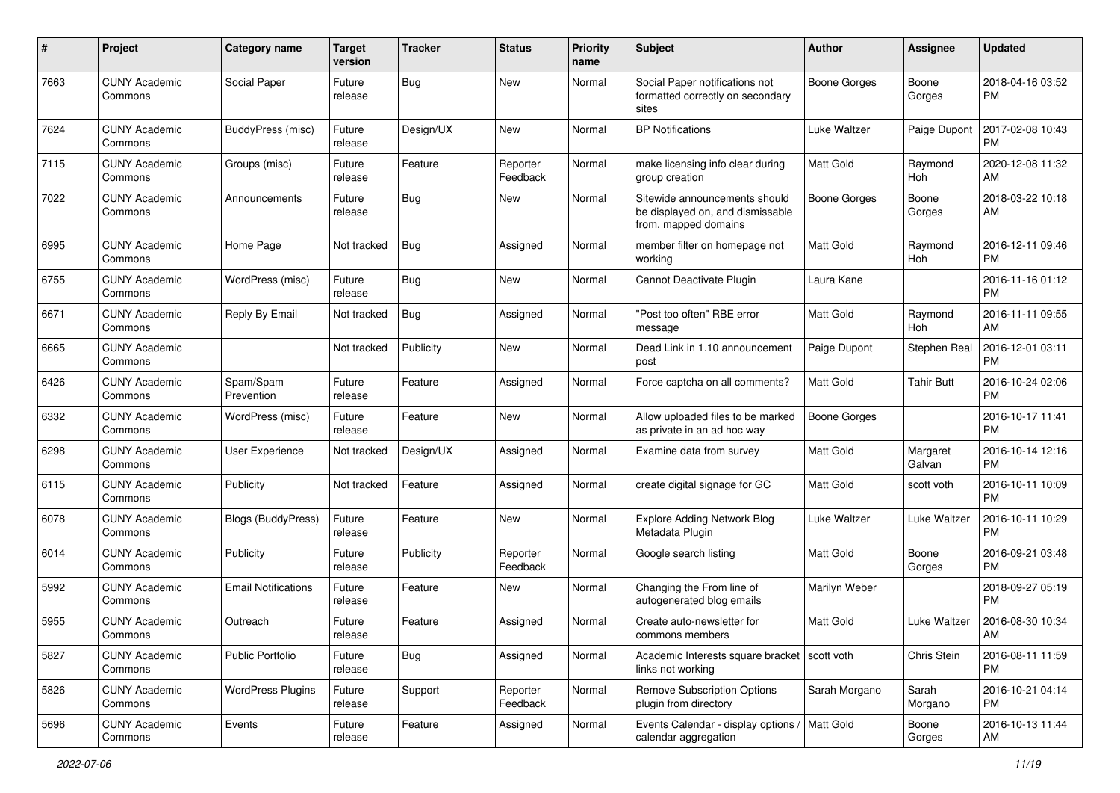| #    | Project                         | <b>Category name</b>       | <b>Target</b><br>version | <b>Tracker</b> | <b>Status</b>        | Priority<br>name | <b>Subject</b>                                                                            | Author              | <b>Assignee</b>    | <b>Updated</b>                |
|------|---------------------------------|----------------------------|--------------------------|----------------|----------------------|------------------|-------------------------------------------------------------------------------------------|---------------------|--------------------|-------------------------------|
| 7663 | <b>CUNY Academic</b><br>Commons | Social Paper               | Future<br>release        | Bug            | New                  | Normal           | Social Paper notifications not<br>formatted correctly on secondary<br>sites               | <b>Boone Gorges</b> | Boone<br>Gorges    | 2018-04-16 03:52<br>РM        |
| 7624 | <b>CUNY Academic</b><br>Commons | BuddyPress (misc)          | Future<br>release        | Design/UX      | New                  | Normal           | <b>BP</b> Notifications                                                                   | Luke Waltzer        | Paige Dupont       | 2017-02-08 10:43<br><b>PM</b> |
| 7115 | <b>CUNY Academic</b><br>Commons | Groups (misc)              | Future<br>release        | Feature        | Reporter<br>Feedback | Normal           | make licensing info clear during<br>group creation                                        | Matt Gold           | Raymond<br>Hoh     | 2020-12-08 11:32<br>AM        |
| 7022 | <b>CUNY Academic</b><br>Commons | Announcements              | Future<br>release        | Bug            | <b>New</b>           | Normal           | Sitewide announcements should<br>be displayed on, and dismissable<br>from, mapped domains | <b>Boone Gorges</b> | Boone<br>Gorges    | 2018-03-22 10:18<br>AM        |
| 6995 | <b>CUNY Academic</b><br>Commons | Home Page                  | Not tracked              | <b>Bug</b>     | Assigned             | Normal           | member filter on homepage not<br>working                                                  | Matt Gold           | Raymond<br>Hoh     | 2016-12-11 09:46<br><b>PM</b> |
| 6755 | <b>CUNY Academic</b><br>Commons | WordPress (misc)           | Future<br>release        | Bug            | New                  | Normal           | Cannot Deactivate Plugin                                                                  | Laura Kane          |                    | 2016-11-16 01:12<br><b>PM</b> |
| 6671 | <b>CUNY Academic</b><br>Commons | Reply By Email             | Not tracked              | <b>Bug</b>     | Assigned             | Normal           | "Post too often" RBE error<br>message                                                     | <b>Matt Gold</b>    | Raymond<br>Hoh     | 2016-11-11 09:55<br>AM        |
| 6665 | <b>CUNY Academic</b><br>Commons |                            | Not tracked              | Publicity      | New                  | Normal           | Dead Link in 1.10 announcement<br>post                                                    | Paige Dupont        | Stephen Real       | 2016-12-01 03:11<br><b>PM</b> |
| 6426 | <b>CUNY Academic</b><br>Commons | Spam/Spam<br>Prevention    | Future<br>release        | Feature        | Assigned             | Normal           | Force captcha on all comments?                                                            | <b>Matt Gold</b>    | <b>Tahir Butt</b>  | 2016-10-24 02:06<br>PM        |
| 6332 | <b>CUNY Academic</b><br>Commons | WordPress (misc)           | Future<br>release        | Feature        | New                  | Normal           | Allow uploaded files to be marked<br>as private in an ad hoc way                          | <b>Boone Gorges</b> |                    | 2016-10-17 11:41<br><b>PM</b> |
| 6298 | <b>CUNY Academic</b><br>Commons | User Experience            | Not tracked              | Design/UX      | Assigned             | Normal           | Examine data from survey                                                                  | <b>Matt Gold</b>    | Margaret<br>Galvan | 2016-10-14 12:16<br><b>PM</b> |
| 6115 | <b>CUNY Academic</b><br>Commons | Publicity                  | Not tracked              | Feature        | Assigned             | Normal           | create digital signage for GC                                                             | Matt Gold           | scott voth         | 2016-10-11 10:09<br><b>PM</b> |
| 6078 | <b>CUNY Academic</b><br>Commons | Blogs (BuddyPress)         | Future<br>release        | Feature        | <b>New</b>           | Normal           | <b>Explore Adding Network Blog</b><br>Metadata Plugin                                     | Luke Waltzer        | Luke Waltzer       | 2016-10-11 10:29<br><b>PM</b> |
| 6014 | <b>CUNY Academic</b><br>Commons | Publicity                  | Future<br>release        | Publicity      | Reporter<br>Feedback | Normal           | Google search listing                                                                     | <b>Matt Gold</b>    | Boone<br>Gorges    | 2016-09-21 03:48<br><b>PM</b> |
| 5992 | <b>CUNY Academic</b><br>Commons | <b>Email Notifications</b> | Future<br>release        | Feature        | New                  | Normal           | Changing the From line of<br>autogenerated blog emails                                    | Marilyn Weber       |                    | 2018-09-27 05:19<br><b>PM</b> |
| 5955 | <b>CUNY Academic</b><br>Commons | Outreach                   | Future<br>release        | Feature        | Assigned             | Normal           | Create auto-newsletter for<br>commons members                                             | Matt Gold           | Luke Waltzer       | 2016-08-30 10:34<br>AM        |
| 5827 | <b>CUNY Academic</b><br>Commons | <b>Public Portfolio</b>    | Future<br>release        | Bug            | Assigned             | Normal           | Academic Interests square bracket   scott voth<br>links not working                       |                     | Chris Stein        | 2016-08-11 11:59<br><b>PM</b> |
| 5826 | <b>CUNY Academic</b><br>Commons | <b>WordPress Plugins</b>   | Future<br>release        | Support        | Reporter<br>Feedback | Normal           | <b>Remove Subscription Options</b><br>plugin from directory                               | Sarah Morgano       | Sarah<br>Morgano   | 2016-10-21 04:14<br><b>PM</b> |
| 5696 | <b>CUNY Academic</b><br>Commons | Events                     | Future<br>release        | Feature        | Assigned             | Normal           | Events Calendar - display options / Matt Gold<br>calendar aggregation                     |                     | Boone<br>Gorges    | 2016-10-13 11:44<br>AM        |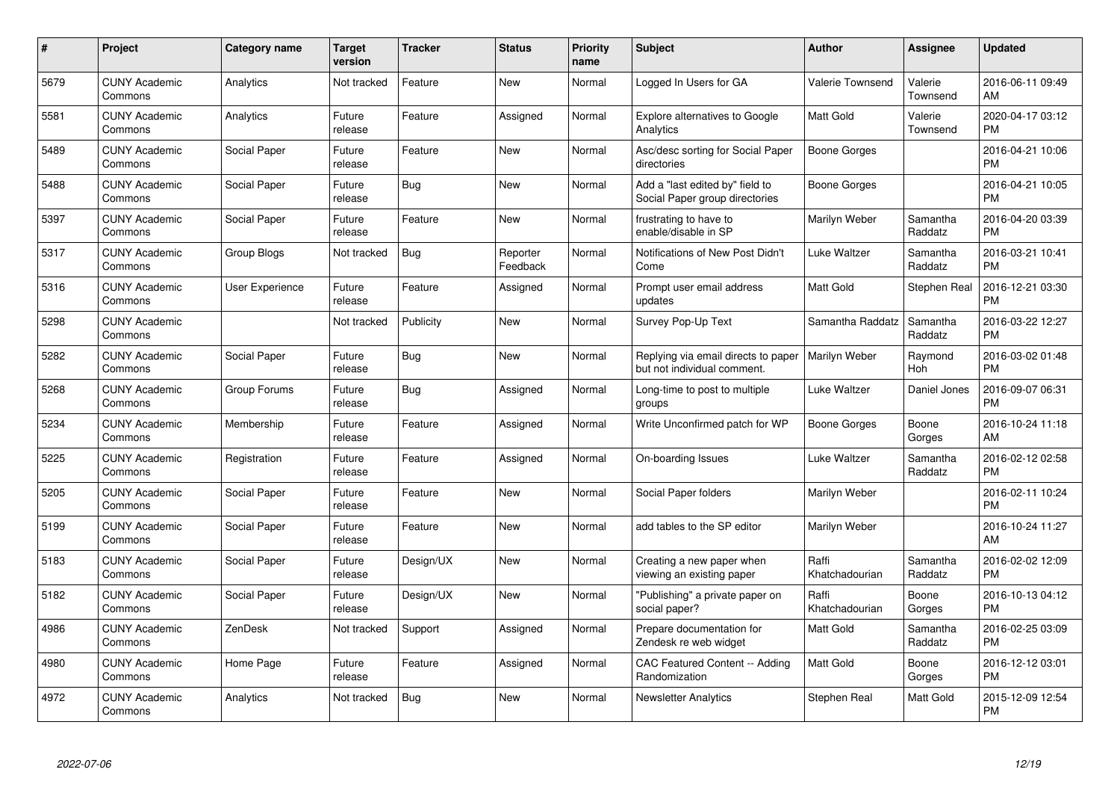| $\#$ | Project                         | <b>Category name</b> | <b>Target</b><br>version | <b>Tracker</b> | <b>Status</b>        | <b>Priority</b><br>name | <b>Subject</b>                                                     | <b>Author</b>           | Assignee            | <b>Updated</b>                |
|------|---------------------------------|----------------------|--------------------------|----------------|----------------------|-------------------------|--------------------------------------------------------------------|-------------------------|---------------------|-------------------------------|
| 5679 | <b>CUNY Academic</b><br>Commons | Analytics            | Not tracked              | Feature        | <b>New</b>           | Normal                  | Logged In Users for GA                                             | <b>Valerie Townsend</b> | Valerie<br>Townsend | 2016-06-11 09:49<br>AM        |
| 5581 | <b>CUNY Academic</b><br>Commons | Analytics            | Future<br>release        | Feature        | Assigned             | Normal                  | Explore alternatives to Google<br>Analytics                        | <b>Matt Gold</b>        | Valerie<br>Townsend | 2020-04-17 03:12<br><b>PM</b> |
| 5489 | <b>CUNY Academic</b><br>Commons | Social Paper         | Future<br>release        | Feature        | <b>New</b>           | Normal                  | Asc/desc sorting for Social Paper<br>directories                   | <b>Boone Gorges</b>     |                     | 2016-04-21 10:06<br><b>PM</b> |
| 5488 | <b>CUNY Academic</b><br>Commons | Social Paper         | Future<br>release        | <b>Bug</b>     | New                  | Normal                  | Add a "last edited by" field to<br>Social Paper group directories  | Boone Gorges            |                     | 2016-04-21 10:05<br><b>PM</b> |
| 5397 | <b>CUNY Academic</b><br>Commons | Social Paper         | Future<br>release        | Feature        | <b>New</b>           | Normal                  | frustrating to have to<br>enable/disable in SP                     | Marilyn Weber           | Samantha<br>Raddatz | 2016-04-20 03:39<br><b>PM</b> |
| 5317 | <b>CUNY Academic</b><br>Commons | <b>Group Blogs</b>   | Not tracked              | Bug            | Reporter<br>Feedback | Normal                  | Notifications of New Post Didn't<br>Come                           | <b>Luke Waltzer</b>     | Samantha<br>Raddatz | 2016-03-21 10:41<br><b>PM</b> |
| 5316 | <b>CUNY Academic</b><br>Commons | User Experience      | Future<br>release        | Feature        | Assigned             | Normal                  | Prompt user email address<br>updates                               | Matt Gold               | Stephen Real        | 2016-12-21 03:30<br><b>PM</b> |
| 5298 | <b>CUNY Academic</b><br>Commons |                      | Not tracked              | Publicity      | <b>New</b>           | Normal                  | Survey Pop-Up Text                                                 | Samantha Raddatz        | Samantha<br>Raddatz | 2016-03-22 12:27<br><b>PM</b> |
| 5282 | <b>CUNY Academic</b><br>Commons | Social Paper         | Future<br>release        | Bug            | <b>New</b>           | Normal                  | Replying via email directs to paper<br>but not individual comment. | Marilyn Weber           | Raymond<br>Hoh      | 2016-03-02 01:48<br><b>PM</b> |
| 5268 | <b>CUNY Academic</b><br>Commons | Group Forums         | Future<br>release        | Bug            | Assigned             | Normal                  | Long-time to post to multiple<br>groups                            | Luke Waltzer            | Daniel Jones        | 2016-09-07 06:31<br><b>PM</b> |
| 5234 | <b>CUNY Academic</b><br>Commons | Membership           | Future<br>release        | Feature        | Assigned             | Normal                  | Write Unconfirmed patch for WP                                     | Boone Gorges            | Boone<br>Gorges     | 2016-10-24 11:18<br>AM        |
| 5225 | <b>CUNY Academic</b><br>Commons | Registration         | Future<br>release        | Feature        | Assigned             | Normal                  | On-boarding Issues                                                 | Luke Waltzer            | Samantha<br>Raddatz | 2016-02-12 02:58<br><b>PM</b> |
| 5205 | <b>CUNY Academic</b><br>Commons | Social Paper         | Future<br>release        | Feature        | New                  | Normal                  | Social Paper folders                                               | Marilyn Weber           |                     | 2016-02-11 10:24<br><b>PM</b> |
| 5199 | <b>CUNY Academic</b><br>Commons | Social Paper         | Future<br>release        | Feature        | New                  | Normal                  | add tables to the SP editor                                        | Marilyn Weber           |                     | 2016-10-24 11:27<br>AM        |
| 5183 | <b>CUNY Academic</b><br>Commons | Social Paper         | Future<br>release        | Design/UX      | New                  | Normal                  | Creating a new paper when<br>viewing an existing paper             | Raffi<br>Khatchadourian | Samantha<br>Raddatz | 2016-02-02 12:09<br><b>PM</b> |
| 5182 | <b>CUNY Academic</b><br>Commons | Social Paper         | Future<br>release        | Design/UX      | New                  | Normal                  | "Publishing" a private paper on<br>social paper?                   | Raffi<br>Khatchadourian | Boone<br>Gorges     | 2016-10-13 04:12<br><b>PM</b> |
| 4986 | <b>CUNY Academic</b><br>Commons | ZenDesk              | Not tracked              | Support        | Assigned             | Normal                  | Prepare documentation for<br>Zendesk re web widget                 | <b>Matt Gold</b>        | Samantha<br>Raddatz | 2016-02-25 03:09<br><b>PM</b> |
| 4980 | <b>CUNY Academic</b><br>Commons | Home Page            | Future<br>release        | Feature        | Assigned             | Normal                  | CAC Featured Content -- Adding<br>Randomization                    | <b>Matt Gold</b>        | Boone<br>Gorges     | 2016-12-12 03:01<br><b>PM</b> |
| 4972 | <b>CUNY Academic</b><br>Commons | Analytics            | Not tracked              | <b>Bug</b>     | <b>New</b>           | Normal                  | <b>Newsletter Analytics</b>                                        | Stephen Real            | Matt Gold           | 2015-12-09 12:54<br><b>PM</b> |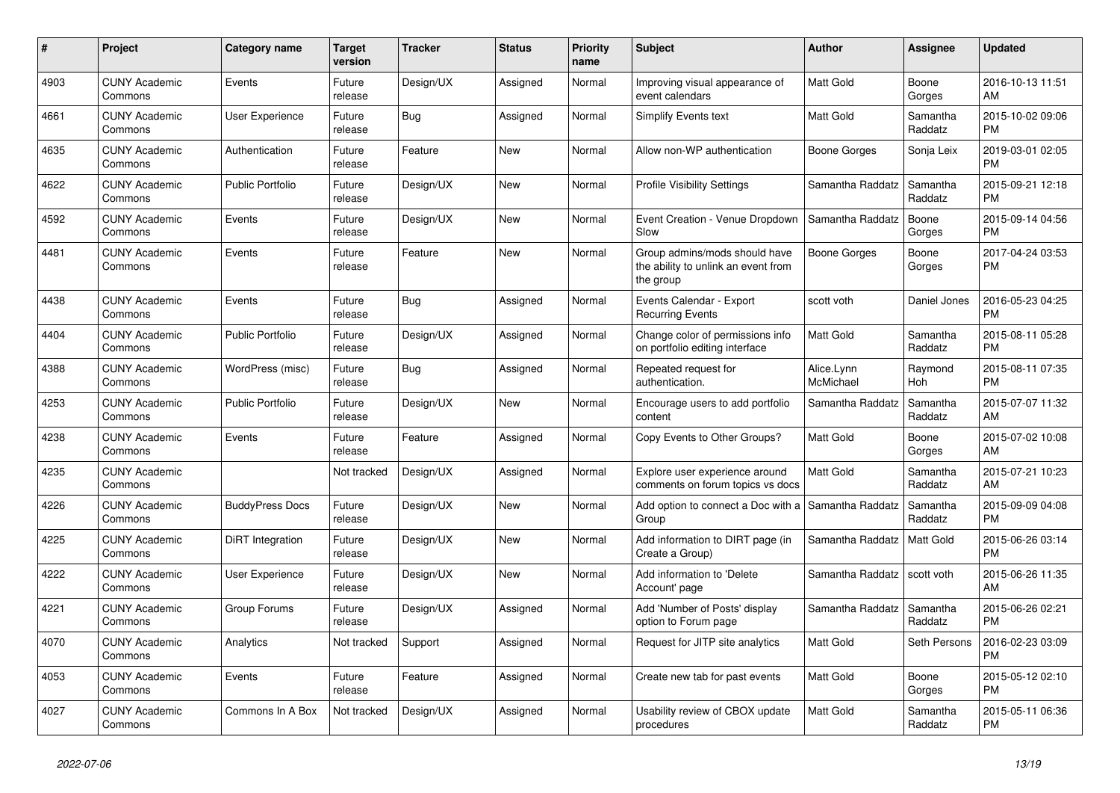| #    | <b>Project</b>                  | <b>Category name</b>    | <b>Target</b><br>version | <b>Tracker</b> | <b>Status</b> | <b>Priority</b><br>name | <b>Subject</b>                                                                    | <b>Author</b>           | Assignee            | <b>Updated</b>                |
|------|---------------------------------|-------------------------|--------------------------|----------------|---------------|-------------------------|-----------------------------------------------------------------------------------|-------------------------|---------------------|-------------------------------|
| 4903 | <b>CUNY Academic</b><br>Commons | Events                  | Future<br>release        | Design/UX      | Assigned      | Normal                  | Improving visual appearance of<br>event calendars                                 | <b>Matt Gold</b>        | Boone<br>Gorges     | 2016-10-13 11:51<br>AM        |
| 4661 | <b>CUNY Academic</b><br>Commons | User Experience         | Future<br>release        | Bug            | Assigned      | Normal                  | <b>Simplify Events text</b>                                                       | <b>Matt Gold</b>        | Samantha<br>Raddatz | 2015-10-02 09:06<br><b>PM</b> |
| 4635 | <b>CUNY Academic</b><br>Commons | Authentication          | Future<br>release        | Feature        | New           | Normal                  | Allow non-WP authentication                                                       | Boone Gorges            | Sonja Leix          | 2019-03-01 02:05<br><b>PM</b> |
| 4622 | <b>CUNY Academic</b><br>Commons | <b>Public Portfolio</b> | Future<br>release        | Design/UX      | <b>New</b>    | Normal                  | <b>Profile Visibility Settings</b>                                                | Samantha Raddatz        | Samantha<br>Raddatz | 2015-09-21 12:18<br><b>PM</b> |
| 4592 | <b>CUNY Academic</b><br>Commons | Events                  | Future<br>release        | Design/UX      | <b>New</b>    | Normal                  | Event Creation - Venue Dropdown<br>Slow                                           | Samantha Raddatz        | Boone<br>Gorges     | 2015-09-14 04:56<br><b>PM</b> |
| 4481 | <b>CUNY Academic</b><br>Commons | Events                  | Future<br>release        | Feature        | New           | Normal                  | Group admins/mods should have<br>the ability to unlink an event from<br>the group | Boone Gorges            | Boone<br>Gorges     | 2017-04-24 03:53<br><b>PM</b> |
| 4438 | <b>CUNY Academic</b><br>Commons | Events                  | Future<br>release        | Bug            | Assigned      | Normal                  | Events Calendar - Export<br><b>Recurring Events</b>                               | scott voth              | Daniel Jones        | 2016-05-23 04:25<br><b>PM</b> |
| 4404 | <b>CUNY Academic</b><br>Commons | <b>Public Portfolio</b> | Future<br>release        | Design/UX      | Assigned      | Normal                  | Change color of permissions info<br>on portfolio editing interface                | <b>Matt Gold</b>        | Samantha<br>Raddatz | 2015-08-11 05:28<br><b>PM</b> |
| 4388 | <b>CUNY Academic</b><br>Commons | WordPress (misc)        | Future<br>release        | Bug            | Assigned      | Normal                  | Repeated request for<br>authentication.                                           | Alice.Lynn<br>McMichael | Raymond<br>Hoh      | 2015-08-11 07:35<br><b>PM</b> |
| 4253 | <b>CUNY Academic</b><br>Commons | <b>Public Portfolio</b> | Future<br>release        | Design/UX      | New           | Normal                  | Encourage users to add portfolio<br>content                                       | Samantha Raddatz        | Samantha<br>Raddatz | 2015-07-07 11:32<br>AM        |
| 4238 | <b>CUNY Academic</b><br>Commons | Events                  | Future<br>release        | Feature        | Assigned      | Normal                  | Copy Events to Other Groups?                                                      | <b>Matt Gold</b>        | Boone<br>Gorges     | 2015-07-02 10:08<br>AM        |
| 4235 | <b>CUNY Academic</b><br>Commons |                         | Not tracked              | Design/UX      | Assigned      | Normal                  | Explore user experience around<br>comments on forum topics vs docs                | <b>Matt Gold</b>        | Samantha<br>Raddatz | 2015-07-21 10:23<br>AM        |
| 4226 | <b>CUNY Academic</b><br>Commons | <b>BuddyPress Docs</b>  | Future<br>release        | Design/UX      | <b>New</b>    | Normal                  | Add option to connect a Doc with a<br>Group                                       | Samantha Raddatz        | Samantha<br>Raddatz | 2015-09-09 04:08<br><b>PM</b> |
| 4225 | <b>CUNY Academic</b><br>Commons | DiRT Integration        | Future<br>release        | Design/UX      | New           | Normal                  | Add information to DIRT page (in<br>Create a Group)                               | Samantha Raddatz        | Matt Gold           | 2015-06-26 03:14<br><b>PM</b> |
| 4222 | <b>CUNY Academic</b><br>Commons | User Experience         | Future<br>release        | Design/UX      | <b>New</b>    | Normal                  | Add information to 'Delete<br>Account' page                                       | Samantha Raddatz        | scott voth          | 2015-06-26 11:35<br>AM        |
| 4221 | <b>CUNY Academic</b><br>Commons | Group Forums            | Future<br>release        | Design/UX      | Assigned      | Normal                  | Add 'Number of Posts' display<br>option to Forum page                             | Samantha Raddatz        | Samantha<br>Raddatz | 2015-06-26 02:21<br><b>PM</b> |
| 4070 | <b>CUNY Academic</b><br>Commons | Analytics               | Not tracked              | Support        | Assigned      | Normal                  | Request for JITP site analytics                                                   | <b>Matt Gold</b>        | Seth Persons        | 2016-02-23 03:09<br><b>PM</b> |
| 4053 | <b>CUNY Academic</b><br>Commons | Events                  | Future<br>release        | Feature        | Assigned      | Normal                  | Create new tab for past events                                                    | <b>Matt Gold</b>        | Boone<br>Gorges     | 2015-05-12 02:10<br><b>PM</b> |
| 4027 | <b>CUNY Academic</b><br>Commons | Commons In A Box        | Not tracked              | Design/UX      | Assigned      | Normal                  | Usability review of CBOX update<br>procedures                                     | <b>Matt Gold</b>        | Samantha<br>Raddatz | 2015-05-11 06:36<br><b>PM</b> |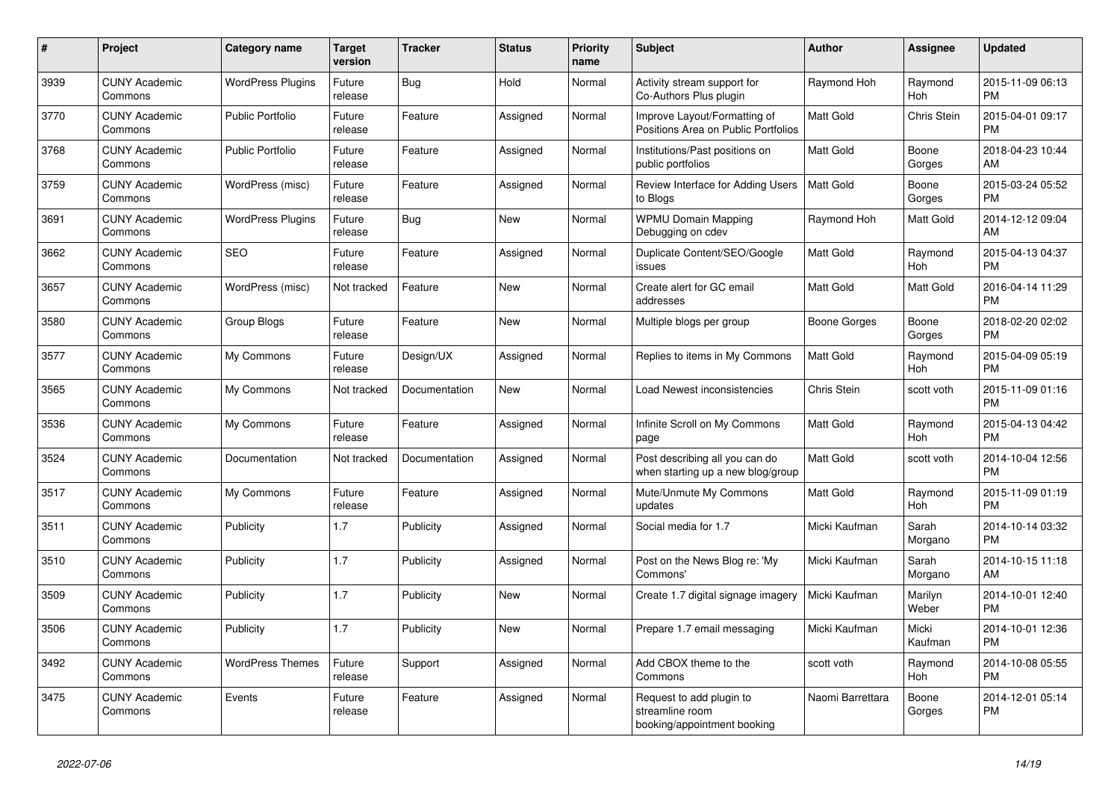| #    | <b>Project</b>                  | <b>Category name</b>     | <b>Target</b><br>version | <b>Tracker</b> | <b>Status</b> | <b>Priority</b><br>name | <b>Subject</b>                                                             | <b>Author</b>    | Assignee         | <b>Updated</b>                |
|------|---------------------------------|--------------------------|--------------------------|----------------|---------------|-------------------------|----------------------------------------------------------------------------|------------------|------------------|-------------------------------|
| 3939 | <b>CUNY Academic</b><br>Commons | <b>WordPress Plugins</b> | Future<br>release        | Bug            | Hold          | Normal                  | Activity stream support for<br>Co-Authors Plus plugin                      | Raymond Hoh      | Raymond<br>Hoh   | 2015-11-09 06:13<br><b>PM</b> |
| 3770 | <b>CUNY Academic</b><br>Commons | <b>Public Portfolio</b>  | Future<br>release        | Feature        | Assigned      | Normal                  | Improve Layout/Formatting of<br>Positions Area on Public Portfolios        | Matt Gold        | Chris Stein      | 2015-04-01 09:17<br><b>PM</b> |
| 3768 | <b>CUNY Academic</b><br>Commons | <b>Public Portfolio</b>  | Future<br>release        | Feature        | Assigned      | Normal                  | Institutions/Past positions on<br>public portfolios                        | Matt Gold        | Boone<br>Gorges  | 2018-04-23 10:44<br>AM        |
| 3759 | <b>CUNY Academic</b><br>Commons | WordPress (misc)         | Future<br>release        | Feature        | Assigned      | Normal                  | Review Interface for Adding Users<br>to Blogs                              | <b>Matt Gold</b> | Boone<br>Gorges  | 2015-03-24 05:52<br><b>PM</b> |
| 3691 | <b>CUNY Academic</b><br>Commons | <b>WordPress Plugins</b> | Future<br>release        | Bug            | New           | Normal                  | <b>WPMU Domain Mapping</b><br>Debugging on cdev                            | Raymond Hoh      | Matt Gold        | 2014-12-12 09:04<br>AM        |
| 3662 | <b>CUNY Academic</b><br>Commons | <b>SEO</b>               | Future<br>release        | Feature        | Assigned      | Normal                  | Duplicate Content/SEO/Google<br>issues                                     | Matt Gold        | Raymond<br>Hoh   | 2015-04-13 04:37<br><b>PM</b> |
| 3657 | <b>CUNY Academic</b><br>Commons | WordPress (misc)         | Not tracked              | Feature        | <b>New</b>    | Normal                  | Create alert for GC email<br>addresses                                     | <b>Matt Gold</b> | Matt Gold        | 2016-04-14 11:29<br><b>PM</b> |
| 3580 | <b>CUNY Academic</b><br>Commons | Group Blogs              | Future<br>release        | Feature        | <b>New</b>    | Normal                  | Multiple blogs per group                                                   | Boone Gorges     | Boone<br>Gorges  | 2018-02-20 02:02<br>PM        |
| 3577 | <b>CUNY Academic</b><br>Commons | My Commons               | Future<br>release        | Design/UX      | Assigned      | Normal                  | Replies to items in My Commons                                             | Matt Gold        | Raymond<br>Hoh   | 2015-04-09 05:19<br><b>PM</b> |
| 3565 | <b>CUNY Academic</b><br>Commons | My Commons               | Not tracked              | Documentation  | <b>New</b>    | Normal                  | Load Newest inconsistencies                                                | Chris Stein      | scott voth       | 2015-11-09 01:16<br><b>PM</b> |
| 3536 | <b>CUNY Academic</b><br>Commons | My Commons               | Future<br>release        | Feature        | Assigned      | Normal                  | Infinite Scroll on My Commons<br>page                                      | Matt Gold        | Raymond<br>Hoh   | 2015-04-13 04:42<br><b>PM</b> |
| 3524 | <b>CUNY Academic</b><br>Commons | Documentation            | Not tracked              | Documentation  | Assigned      | Normal                  | Post describing all you can do<br>when starting up a new blog/group        | Matt Gold        | scott voth       | 2014-10-04 12:56<br><b>PM</b> |
| 3517 | <b>CUNY Academic</b><br>Commons | My Commons               | Future<br>release        | Feature        | Assigned      | Normal                  | Mute/Unmute My Commons<br>updates                                          | Matt Gold        | Raymond<br>Hoh   | 2015-11-09 01:19<br><b>PM</b> |
| 3511 | <b>CUNY Academic</b><br>Commons | Publicity                | 1.7                      | Publicity      | Assigned      | Normal                  | Social media for 1.7                                                       | Micki Kaufman    | Sarah<br>Morgano | 2014-10-14 03:32<br><b>PM</b> |
| 3510 | <b>CUNY Academic</b><br>Commons | Publicity                | 1.7                      | Publicity      | Assigned      | Normal                  | Post on the News Blog re: 'My<br>Commons'                                  | Micki Kaufman    | Sarah<br>Morgano | 2014-10-15 11:18<br>AM        |
| 3509 | <b>CUNY Academic</b><br>Commons | Publicity                | 1.7                      | Publicity      | New           | Normal                  | Create 1.7 digital signage imagery                                         | Micki Kaufman    | Marilyn<br>Weber | 2014-10-01 12:40<br><b>PM</b> |
| 3506 | <b>CUNY Academic</b><br>Commons | Publicity                | 1.7                      | Publicity      | <b>New</b>    | Normal                  | Prepare 1.7 email messaging                                                | Micki Kaufman    | Micki<br>Kaufman | 2014-10-01 12:36<br><b>PM</b> |
| 3492 | <b>CUNY Academic</b><br>Commons | <b>WordPress Themes</b>  | Future<br>release        | Support        | Assigned      | Normal                  | Add CBOX theme to the<br>Commons                                           | scott voth       | Raymond<br>Hoh   | 2014-10-08 05:55<br><b>PM</b> |
| 3475 | <b>CUNY Academic</b><br>Commons | Events                   | Future<br>release        | Feature        | Assigned      | Normal                  | Request to add plugin to<br>streamline room<br>booking/appointment booking | Naomi Barrettara | Boone<br>Gorges  | 2014-12-01 05:14<br><b>PM</b> |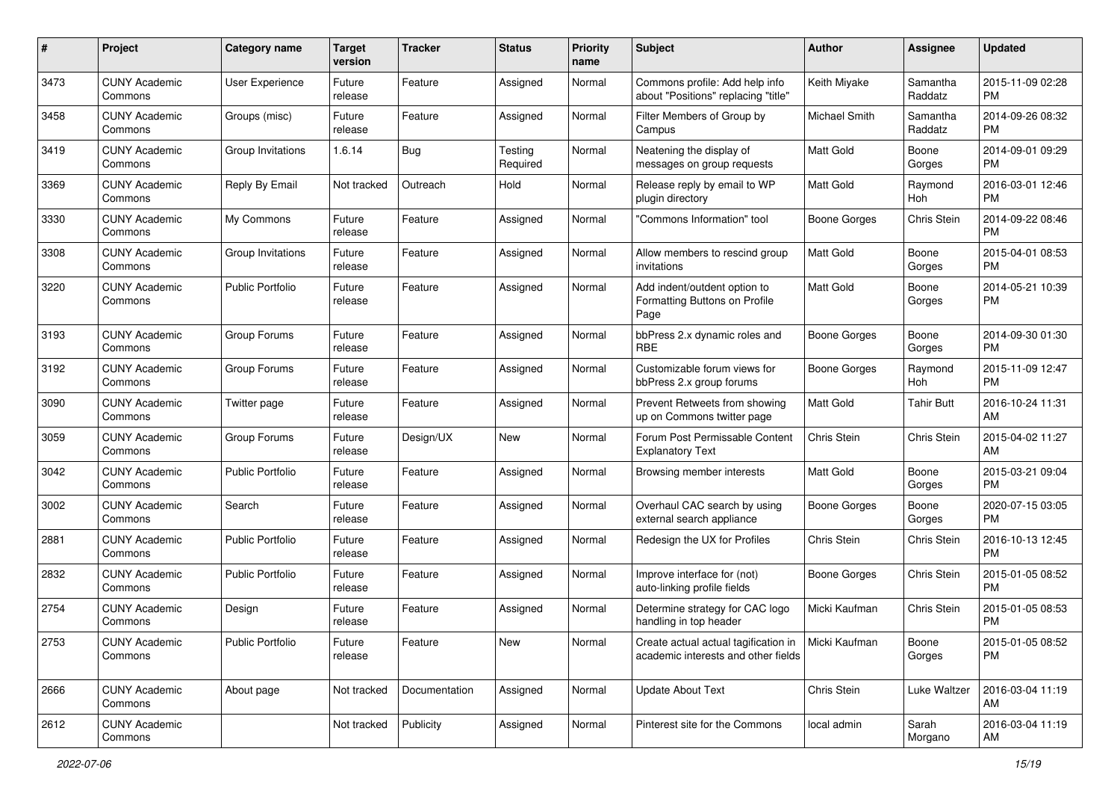| #    | Project                         | <b>Category name</b>    | <b>Target</b><br>version | <b>Tracker</b> | <b>Status</b>       | <b>Priority</b><br>name | <b>Subject</b>                                                              | Author              | <b>Assignee</b>     | <b>Updated</b>                |
|------|---------------------------------|-------------------------|--------------------------|----------------|---------------------|-------------------------|-----------------------------------------------------------------------------|---------------------|---------------------|-------------------------------|
| 3473 | <b>CUNY Academic</b><br>Commons | <b>User Experience</b>  | Future<br>release        | Feature        | Assigned            | Normal                  | Commons profile: Add help info<br>about "Positions" replacing "title"       | Keith Miyake        | Samantha<br>Raddatz | 2015-11-09 02:28<br><b>PM</b> |
| 3458 | <b>CUNY Academic</b><br>Commons | Groups (misc)           | Future<br>release        | Feature        | Assigned            | Normal                  | Filter Members of Group by<br>Campus                                        | Michael Smith       | Samantha<br>Raddatz | 2014-09-26 08:32<br><b>PM</b> |
| 3419 | <b>CUNY Academic</b><br>Commons | Group Invitations       | 1.6.14                   | Bug            | Testing<br>Required | Normal                  | Neatening the display of<br>messages on group requests                      | Matt Gold           | Boone<br>Gorges     | 2014-09-01 09:29<br><b>PM</b> |
| 3369 | <b>CUNY Academic</b><br>Commons | Reply By Email          | Not tracked              | Outreach       | Hold                | Normal                  | Release reply by email to WP<br>plugin directory                            | <b>Matt Gold</b>    | Raymond<br>Hoh      | 2016-03-01 12:46<br><b>PM</b> |
| 3330 | <b>CUNY Academic</b><br>Commons | My Commons              | Future<br>release        | Feature        | Assigned            | Normal                  | 'Commons Information" tool                                                  | <b>Boone Gorges</b> | Chris Stein         | 2014-09-22 08:46<br><b>PM</b> |
| 3308 | <b>CUNY Academic</b><br>Commons | Group Invitations       | Future<br>release        | Feature        | Assigned            | Normal                  | Allow members to rescind group<br>invitations                               | <b>Matt Gold</b>    | Boone<br>Gorges     | 2015-04-01 08:53<br><b>PM</b> |
| 3220 | <b>CUNY Academic</b><br>Commons | <b>Public Portfolio</b> | Future<br>release        | Feature        | Assigned            | Normal                  | Add indent/outdent option to<br>Formatting Buttons on Profile<br>Page       | <b>Matt Gold</b>    | Boone<br>Gorges     | 2014-05-21 10:39<br><b>PM</b> |
| 3193 | <b>CUNY Academic</b><br>Commons | Group Forums            | Future<br>release        | Feature        | Assigned            | Normal                  | bbPress 2.x dynamic roles and<br><b>RBE</b>                                 | <b>Boone Gorges</b> | Boone<br>Gorges     | 2014-09-30 01:30<br><b>PM</b> |
| 3192 | <b>CUNY Academic</b><br>Commons | Group Forums            | Future<br>release        | Feature        | Assigned            | Normal                  | Customizable forum views for<br>bbPress 2.x group forums                    | Boone Gorges        | Raymond<br>Hoh      | 2015-11-09 12:47<br><b>PM</b> |
| 3090 | <b>CUNY Academic</b><br>Commons | Twitter page            | Future<br>release        | Feature        | Assigned            | Normal                  | Prevent Retweets from showing<br>up on Commons twitter page                 | <b>Matt Gold</b>    | <b>Tahir Butt</b>   | 2016-10-24 11:31<br>AM        |
| 3059 | <b>CUNY Academic</b><br>Commons | Group Forums            | Future<br>release        | Design/UX      | New                 | Normal                  | Forum Post Permissable Content<br><b>Explanatory Text</b>                   | Chris Stein         | Chris Stein         | 2015-04-02 11:27<br>AM        |
| 3042 | <b>CUNY Academic</b><br>Commons | Public Portfolio        | Future<br>release        | Feature        | Assigned            | Normal                  | Browsing member interests                                                   | <b>Matt Gold</b>    | Boone<br>Gorges     | 2015-03-21 09:04<br><b>PM</b> |
| 3002 | <b>CUNY Academic</b><br>Commons | Search                  | Future<br>release        | Feature        | Assigned            | Normal                  | Overhaul CAC search by using<br>external search appliance                   | Boone Gorges        | Boone<br>Gorges     | 2020-07-15 03:05<br><b>PM</b> |
| 2881 | <b>CUNY Academic</b><br>Commons | <b>Public Portfolio</b> | Future<br>release        | Feature        | Assigned            | Normal                  | Redesign the UX for Profiles                                                | Chris Stein         | Chris Stein         | 2016-10-13 12:45<br><b>PM</b> |
| 2832 | <b>CUNY Academic</b><br>Commons | <b>Public Portfolio</b> | Future<br>release        | Feature        | Assigned            | Normal                  | Improve interface for (not)<br>auto-linking profile fields                  | <b>Boone Gorges</b> | Chris Stein         | 2015-01-05 08:52<br><b>PM</b> |
| 2754 | <b>CUNY Academic</b><br>Commons | Design                  | Future<br>release        | Feature        | Assigned            | Normal                  | Determine strategy for CAC logo<br>handling in top header                   | Micki Kaufman       | Chris Stein         | 2015-01-05 08:53<br><b>PM</b> |
| 2753 | <b>CUNY Academic</b><br>Commons | <b>Public Portfolio</b> | Future<br>release        | Feature        | New                 | Normal                  | Create actual actual tagification in<br>academic interests and other fields | Micki Kaufman       | Boone<br>Gorges     | 2015-01-05 08:52<br><b>PM</b> |
| 2666 | <b>CUNY Academic</b><br>Commons | About page              | Not tracked              | Documentation  | Assigned            | Normal                  | <b>Update About Text</b>                                                    | Chris Stein         | Luke Waltzer        | 2016-03-04 11:19<br>AM        |
| 2612 | <b>CUNY Academic</b><br>Commons |                         | Not tracked              | Publicity      | Assigned            | Normal                  | Pinterest site for the Commons                                              | local admin         | Sarah<br>Morgano    | 2016-03-04 11:19<br>AM        |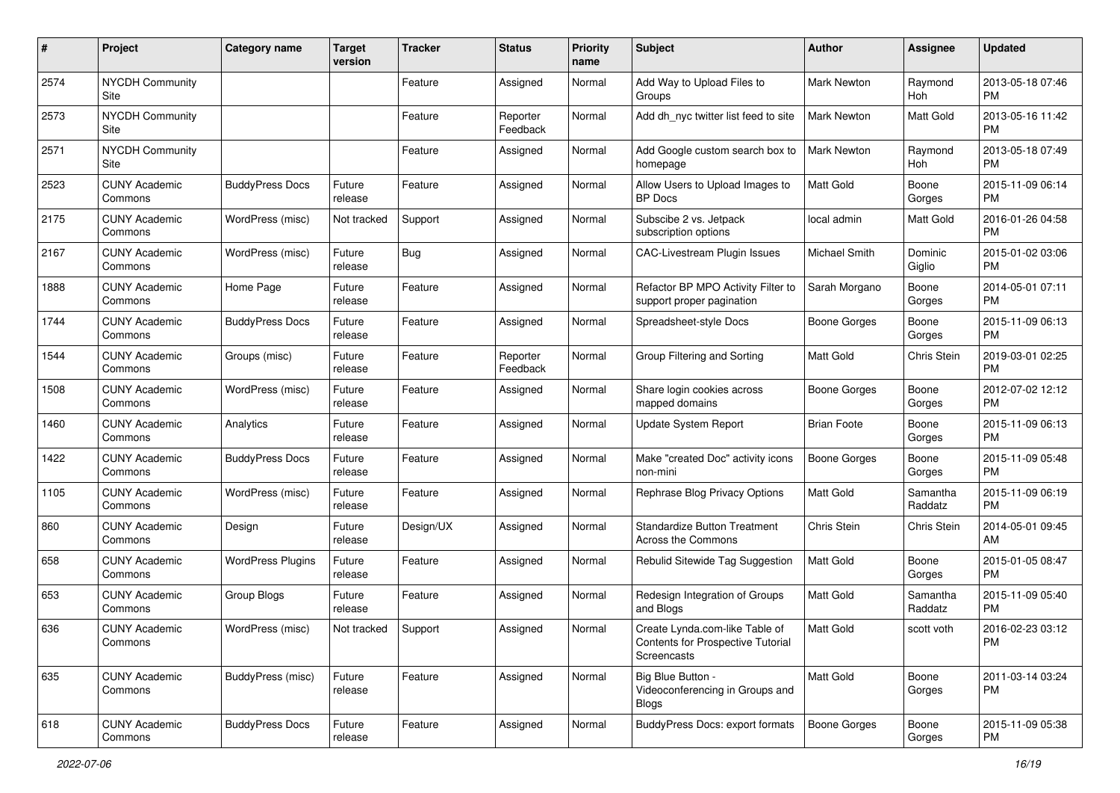| #    | Project                         | <b>Category name</b>     | <b>Target</b><br>version | <b>Tracker</b> | <b>Status</b>        | <b>Priority</b><br>name | <b>Subject</b>                                                                     | <b>Author</b>       | <b>Assignee</b>     | <b>Updated</b>                |
|------|---------------------------------|--------------------------|--------------------------|----------------|----------------------|-------------------------|------------------------------------------------------------------------------------|---------------------|---------------------|-------------------------------|
| 2574 | <b>NYCDH Community</b><br>Site  |                          |                          | Feature        | Assigned             | Normal                  | Add Way to Upload Files to<br>Groups                                               | Mark Newton         | Raymond<br>Hoh      | 2013-05-18 07:46<br><b>PM</b> |
| 2573 | <b>NYCDH Community</b><br>Site  |                          |                          | Feature        | Reporter<br>Feedback | Normal                  | Add dh_nyc twitter list feed to site                                               | <b>Mark Newton</b>  | Matt Gold           | 2013-05-16 11:42<br><b>PM</b> |
| 2571 | <b>NYCDH Community</b><br>Site  |                          |                          | Feature        | Assigned             | Normal                  | Add Google custom search box to<br>homepage                                        | Mark Newton         | Raymond<br>Hoh      | 2013-05-18 07:49<br><b>PM</b> |
| 2523 | <b>CUNY Academic</b><br>Commons | <b>BuddyPress Docs</b>   | Future<br>release        | Feature        | Assigned             | Normal                  | Allow Users to Upload Images to<br><b>BP</b> Docs                                  | <b>Matt Gold</b>    | Boone<br>Gorges     | 2015-11-09 06:14<br><b>PM</b> |
| 2175 | <b>CUNY Academic</b><br>Commons | WordPress (misc)         | Not tracked              | Support        | Assigned             | Normal                  | Subscibe 2 vs. Jetpack<br>subscription options                                     | local admin         | Matt Gold           | 2016-01-26 04:58<br><b>PM</b> |
| 2167 | <b>CUNY Academic</b><br>Commons | WordPress (misc)         | Future<br>release        | <b>Bug</b>     | Assigned             | Normal                  | <b>CAC-Livestream Plugin Issues</b>                                                | Michael Smith       | Dominic<br>Giglio   | 2015-01-02 03:06<br><b>PM</b> |
| 1888 | <b>CUNY Academic</b><br>Commons | Home Page                | Future<br>release        | Feature        | Assigned             | Normal                  | Refactor BP MPO Activity Filter to<br>support proper pagination                    | Sarah Morgano       | Boone<br>Gorges     | 2014-05-01 07:11<br><b>PM</b> |
| 1744 | <b>CUNY Academic</b><br>Commons | <b>BuddyPress Docs</b>   | Future<br>release        | Feature        | Assigned             | Normal                  | Spreadsheet-style Docs                                                             | <b>Boone Gorges</b> | Boone<br>Gorges     | 2015-11-09 06:13<br><b>PM</b> |
| 1544 | <b>CUNY Academic</b><br>Commons | Groups (misc)            | Future<br>release        | Feature        | Reporter<br>Feedback | Normal                  | Group Filtering and Sorting                                                        | <b>Matt Gold</b>    | Chris Stein         | 2019-03-01 02:25<br><b>PM</b> |
| 1508 | <b>CUNY Academic</b><br>Commons | WordPress (misc)         | Future<br>release        | Feature        | Assigned             | Normal                  | Share login cookies across<br>mapped domains                                       | <b>Boone Gorges</b> | Boone<br>Gorges     | 2012-07-02 12:12<br><b>PM</b> |
| 1460 | <b>CUNY Academic</b><br>Commons | Analytics                | Future<br>release        | Feature        | Assigned             | Normal                  | Update System Report                                                               | <b>Brian Foote</b>  | Boone<br>Gorges     | 2015-11-09 06:13<br><b>PM</b> |
| 1422 | <b>CUNY Academic</b><br>Commons | <b>BuddyPress Docs</b>   | Future<br>release        | Feature        | Assigned             | Normal                  | Make "created Doc" activity icons<br>non-mini                                      | <b>Boone Gorges</b> | Boone<br>Gorges     | 2015-11-09 05:48<br><b>PM</b> |
| 1105 | <b>CUNY Academic</b><br>Commons | WordPress (misc)         | Future<br>release        | Feature        | Assigned             | Normal                  | Rephrase Blog Privacy Options                                                      | Matt Gold           | Samantha<br>Raddatz | 2015-11-09 06:19<br><b>PM</b> |
| 860  | <b>CUNY Academic</b><br>Commons | Design                   | Future<br>release        | Design/UX      | Assigned             | Normal                  | <b>Standardize Button Treatment</b><br>Across the Commons                          | Chris Stein         | Chris Stein         | 2014-05-01 09:45<br>AM        |
| 658  | <b>CUNY Academic</b><br>Commons | <b>WordPress Plugins</b> | Future<br>release        | Feature        | Assigned             | Normal                  | Rebulid Sitewide Tag Suggestion                                                    | <b>Matt Gold</b>    | Boone<br>Gorges     | 2015-01-05 08:47<br><b>PM</b> |
| 653  | <b>CUNY Academic</b><br>Commons | Group Blogs              | Future<br>release        | Feature        | Assigned             | Normal                  | Redesign Integration of Groups<br>and Blogs                                        | <b>Matt Gold</b>    | Samantha<br>Raddatz | 2015-11-09 05:40<br><b>PM</b> |
| 636  | <b>CUNY Academic</b><br>Commons | WordPress (misc)         | Not tracked              | Support        | Assigned             | Normal                  | Create Lynda.com-like Table of<br>Contents for Prospective Tutorial<br>Screencasts | <b>Matt Gold</b>    | scott voth          | 2016-02-23 03:12<br>PM        |
| 635  | <b>CUNY Academic</b><br>Commons | BuddyPress (misc)        | Future<br>release        | Feature        | Assigned             | Normal                  | Big Blue Button -<br>Videoconferencing in Groups and<br><b>Blogs</b>               | Matt Gold           | Boone<br>Gorges     | 2011-03-14 03:24<br>PM        |
| 618  | <b>CUNY Academic</b><br>Commons | <b>BuddyPress Docs</b>   | Future<br>release        | Feature        | Assigned             | Normal                  | BuddyPress Docs: export formats                                                    | Boone Gorges        | Boone<br>Gorges     | 2015-11-09 05:38<br><b>PM</b> |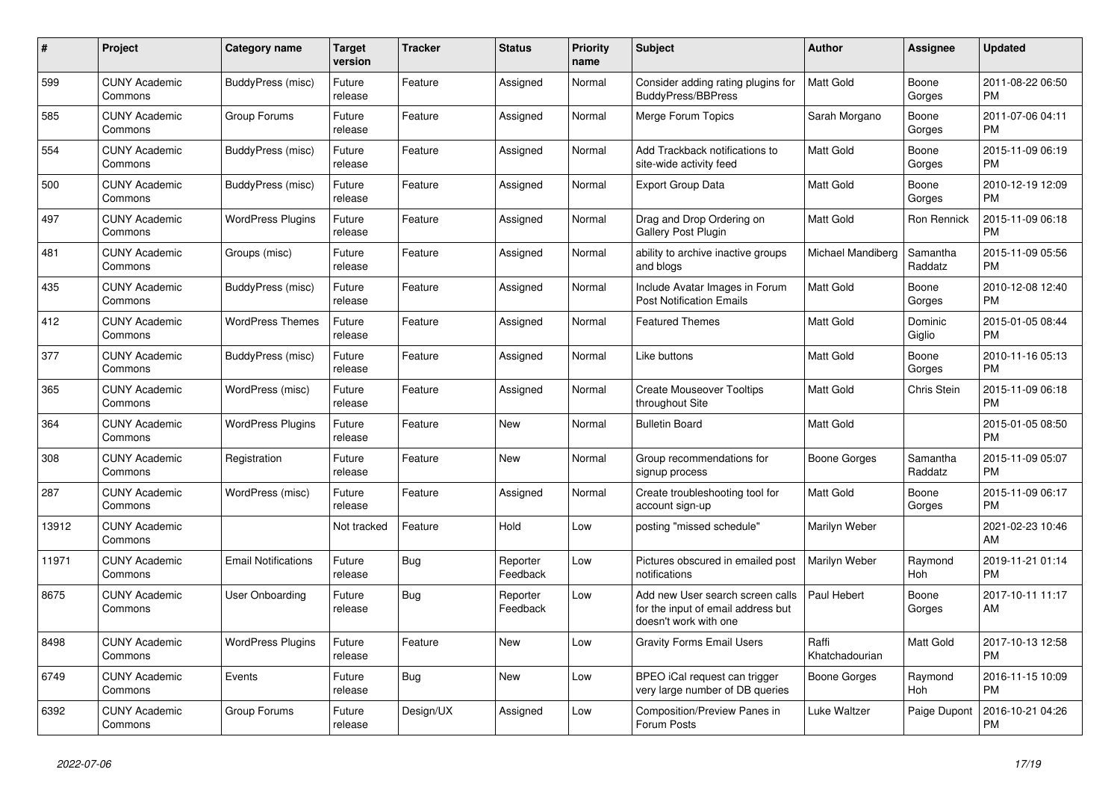| $\#$  | Project                         | <b>Category name</b>       | <b>Target</b><br>version | <b>Tracker</b> | <b>Status</b>        | <b>Priority</b><br>name | <b>Subject</b>                                                                                  | <b>Author</b>           | Assignee            | <b>Updated</b>                |
|-------|---------------------------------|----------------------------|--------------------------|----------------|----------------------|-------------------------|-------------------------------------------------------------------------------------------------|-------------------------|---------------------|-------------------------------|
| 599   | <b>CUNY Academic</b><br>Commons | BuddyPress (misc)          | Future<br>release        | Feature        | Assigned             | Normal                  | Consider adding rating plugins for<br><b>BuddyPress/BBPress</b>                                 | <b>Matt Gold</b>        | Boone<br>Gorges     | 2011-08-22 06:50<br><b>PM</b> |
| 585   | <b>CUNY Academic</b><br>Commons | Group Forums               | Future<br>release        | Feature        | Assigned             | Normal                  | Merge Forum Topics                                                                              | Sarah Morgano           | Boone<br>Gorges     | 2011-07-06 04:11<br><b>PM</b> |
| 554   | <b>CUNY Academic</b><br>Commons | BuddyPress (misc)          | Future<br>release        | Feature        | Assigned             | Normal                  | Add Trackback notifications to<br>site-wide activity feed                                       | Matt Gold               | Boone<br>Gorges     | 2015-11-09 06:19<br><b>PM</b> |
| 500   | <b>CUNY Academic</b><br>Commons | BuddyPress (misc)          | Future<br>release        | Feature        | Assigned             | Normal                  | <b>Export Group Data</b>                                                                        | Matt Gold               | Boone<br>Gorges     | 2010-12-19 12:09<br><b>PM</b> |
| 497   | <b>CUNY Academic</b><br>Commons | <b>WordPress Plugins</b>   | Future<br>release        | Feature        | Assigned             | Normal                  | Drag and Drop Ordering on<br>Gallery Post Plugin                                                | <b>Matt Gold</b>        | Ron Rennick         | 2015-11-09 06:18<br><b>PM</b> |
| 481   | <b>CUNY Academic</b><br>Commons | Groups (misc)              | Future<br>release        | Feature        | Assigned             | Normal                  | ability to archive inactive groups<br>and blogs                                                 | Michael Mandiberg       | Samantha<br>Raddatz | 2015-11-09 05:56<br><b>PM</b> |
| 435   | <b>CUNY Academic</b><br>Commons | BuddyPress (misc)          | Future<br>release        | Feature        | Assigned             | Normal                  | Include Avatar Images in Forum<br><b>Post Notification Emails</b>                               | <b>Matt Gold</b>        | Boone<br>Gorges     | 2010-12-08 12:40<br><b>PM</b> |
| 412   | <b>CUNY Academic</b><br>Commons | <b>WordPress Themes</b>    | Future<br>release        | Feature        | Assigned             | Normal                  | <b>Featured Themes</b>                                                                          | <b>Matt Gold</b>        | Dominic<br>Giglio   | 2015-01-05 08:44<br><b>PM</b> |
| 377   | <b>CUNY Academic</b><br>Commons | BuddyPress (misc)          | Future<br>release        | Feature        | Assigned             | Normal                  | Like buttons                                                                                    | Matt Gold               | Boone<br>Gorges     | 2010-11-16 05:13<br><b>PM</b> |
| 365   | <b>CUNY Academic</b><br>Commons | WordPress (misc)           | Future<br>release        | Feature        | Assigned             | Normal                  | <b>Create Mouseover Tooltips</b><br>throughout Site                                             | <b>Matt Gold</b>        | Chris Stein         | 2015-11-09 06:18<br><b>PM</b> |
| 364   | <b>CUNY Academic</b><br>Commons | <b>WordPress Plugins</b>   | Future<br>release        | Feature        | <b>New</b>           | Normal                  | <b>Bulletin Board</b>                                                                           | <b>Matt Gold</b>        |                     | 2015-01-05 08:50<br><b>PM</b> |
| 308   | <b>CUNY Academic</b><br>Commons | Registration               | Future<br>release        | Feature        | New                  | Normal                  | Group recommendations for<br>signup process                                                     | Boone Gorges            | Samantha<br>Raddatz | 2015-11-09 05:07<br><b>PM</b> |
| 287   | <b>CUNY Academic</b><br>Commons | WordPress (misc)           | Future<br>release        | Feature        | Assigned             | Normal                  | Create troubleshooting tool for<br>account sign-up                                              | <b>Matt Gold</b>        | Boone<br>Gorges     | 2015-11-09 06:17<br><b>PM</b> |
| 13912 | <b>CUNY Academic</b><br>Commons |                            | Not tracked              | Feature        | Hold                 | Low                     | posting "missed schedule"                                                                       | Marilyn Weber           |                     | 2021-02-23 10:46<br>AM        |
| 11971 | <b>CUNY Academic</b><br>Commons | <b>Email Notifications</b> | Future<br>release        | Bug            | Reporter<br>Feedback | Low                     | Pictures obscured in emailed post<br>notifications                                              | Marilyn Weber           | Raymond<br>Hoh      | 2019-11-21 01:14<br><b>PM</b> |
| 8675  | <b>CUNY Academic</b><br>Commons | User Onboarding            | Future<br>release        | <b>Bug</b>     | Reporter<br>Feedback | Low                     | Add new User search screen calls<br>for the input of email address but<br>doesn't work with one | Paul Hebert             | Boone<br>Gorges     | 2017-10-11 11:17<br>AM        |
| 8498  | <b>CUNY Academic</b><br>Commons | <b>WordPress Plugins</b>   | Future<br>release        | Feature        | <b>New</b>           | Low                     | <b>Gravity Forms Email Users</b>                                                                | Raffi<br>Khatchadourian | Matt Gold           | 2017-10-13 12:58<br><b>PM</b> |
| 6749  | <b>CUNY Academic</b><br>Commons | Events                     | Future<br>release        | Bug            | New                  | Low                     | BPEO iCal request can trigger<br>very large number of DB queries                                | Boone Gorges            | Raymond<br>Hoh      | 2016-11-15 10:09<br><b>PM</b> |
| 6392  | <b>CUNY Academic</b><br>Commons | Group Forums               | Future<br>release        | Design/UX      | Assigned             | Low                     | <b>Composition/Preview Panes in</b><br>Forum Posts                                              | Luke Waltzer            | Paige Dupont        | 2016-10-21 04:26<br><b>PM</b> |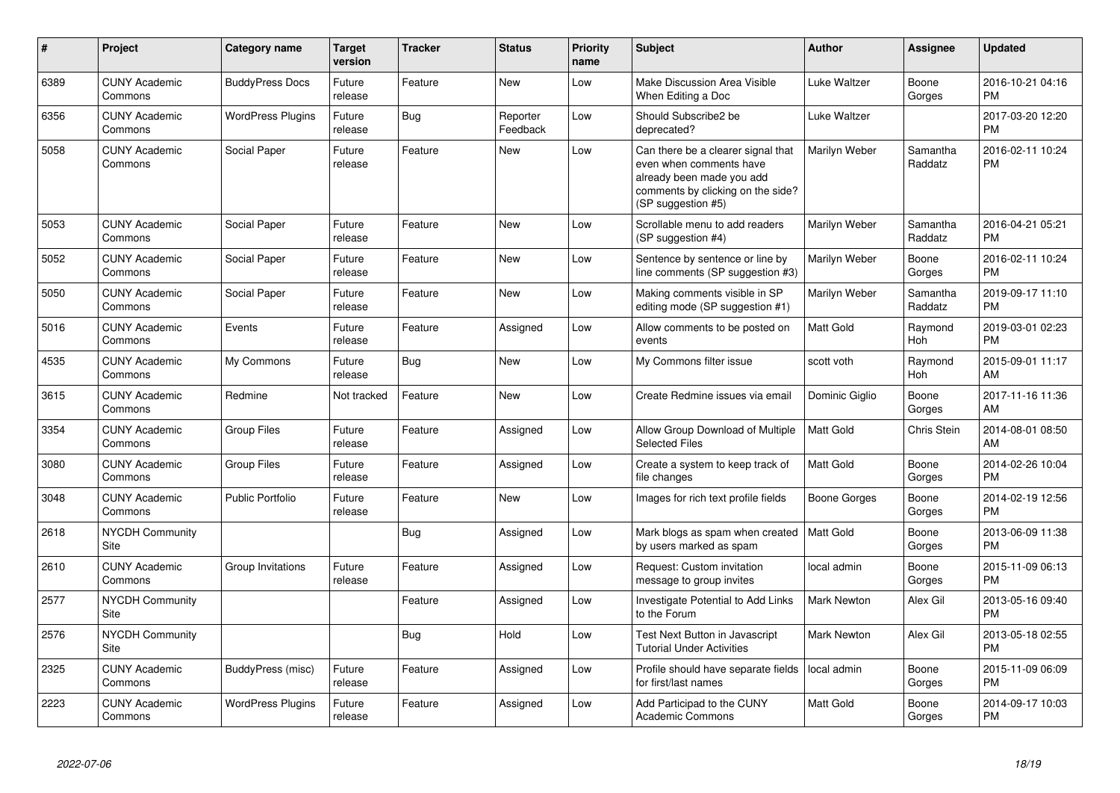| #    | Project                               | <b>Category name</b>     | <b>Target</b><br>version | <b>Tracker</b> | <b>Status</b>        | <b>Priority</b><br>name | <b>Subject</b>                                                                                                                                        | <b>Author</b>      | Assignee            | <b>Updated</b>                |
|------|---------------------------------------|--------------------------|--------------------------|----------------|----------------------|-------------------------|-------------------------------------------------------------------------------------------------------------------------------------------------------|--------------------|---------------------|-------------------------------|
| 6389 | <b>CUNY Academic</b><br>Commons       | <b>BuddyPress Docs</b>   | Future<br>release        | Feature        | New                  | Low                     | Make Discussion Area Visible<br>When Editing a Doc                                                                                                    | Luke Waltzer       | Boone<br>Gorges     | 2016-10-21 04:16<br><b>PM</b> |
| 6356 | <b>CUNY Academic</b><br>Commons       | <b>WordPress Plugins</b> | Future<br>release        | Bug            | Reporter<br>Feedback | Low                     | Should Subscribe2 be<br>deprecated?                                                                                                                   | Luke Waltzer       |                     | 2017-03-20 12:20<br><b>PM</b> |
| 5058 | <b>CUNY Academic</b><br>Commons       | Social Paper             | Future<br>release        | Feature        | New                  | Low                     | Can there be a clearer signal that<br>even when comments have<br>already been made you add<br>comments by clicking on the side?<br>(SP suggestion #5) | Marilyn Weber      | Samantha<br>Raddatz | 2016-02-11 10:24<br><b>PM</b> |
| 5053 | <b>CUNY Academic</b><br>Commons       | Social Paper             | Future<br>release        | Feature        | <b>New</b>           | Low                     | Scrollable menu to add readers<br>(SP suggestion #4)                                                                                                  | Marilyn Weber      | Samantha<br>Raddatz | 2016-04-21 05:21<br><b>PM</b> |
| 5052 | <b>CUNY Academic</b><br>Commons       | Social Paper             | Future<br>release        | Feature        | <b>New</b>           | Low                     | Sentence by sentence or line by<br>line comments (SP suggestion #3)                                                                                   | Marilyn Weber      | Boone<br>Gorges     | 2016-02-11 10:24<br><b>PM</b> |
| 5050 | <b>CUNY Academic</b><br>Commons       | Social Paper             | Future<br>release        | Feature        | New                  | Low                     | Making comments visible in SP<br>editing mode (SP suggestion #1)                                                                                      | Marilyn Weber      | Samantha<br>Raddatz | 2019-09-17 11:10<br><b>PM</b> |
| 5016 | <b>CUNY Academic</b><br>Commons       | Events                   | Future<br>release        | Feature        | Assigned             | Low                     | Allow comments to be posted on<br>events                                                                                                              | <b>Matt Gold</b>   | Raymond<br>Hoh      | 2019-03-01 02:23<br><b>PM</b> |
| 4535 | <b>CUNY Academic</b><br>Commons       | My Commons               | Future<br>release        | Bug            | <b>New</b>           | Low                     | My Commons filter issue                                                                                                                               | scott voth         | Raymond<br>Hoh      | 2015-09-01 11:17<br>AM        |
| 3615 | <b>CUNY Academic</b><br>Commons       | Redmine                  | Not tracked              | Feature        | <b>New</b>           | Low                     | Create Redmine issues via email                                                                                                                       | Dominic Giglio     | Boone<br>Gorges     | 2017-11-16 11:36<br>AM        |
| 3354 | <b>CUNY Academic</b><br>Commons       | <b>Group Files</b>       | Future<br>release        | Feature        | Assigned             | Low                     | Allow Group Download of Multiple<br><b>Selected Files</b>                                                                                             | <b>Matt Gold</b>   | Chris Stein         | 2014-08-01 08:50<br>AM        |
| 3080 | <b>CUNY Academic</b><br>Commons       | <b>Group Files</b>       | Future<br>release        | Feature        | Assigned             | Low                     | Create a system to keep track of<br>file changes                                                                                                      | Matt Gold          | Boone<br>Gorges     | 2014-02-26 10:04<br><b>PM</b> |
| 3048 | <b>CUNY Academic</b><br>Commons       | <b>Public Portfolio</b>  | Future<br>release        | Feature        | New                  | Low                     | Images for rich text profile fields                                                                                                                   | Boone Gorges       | Boone<br>Gorges     | 2014-02-19 12:56<br><b>PM</b> |
| 2618 | <b>NYCDH Community</b><br><b>Site</b> |                          |                          | <b>Bug</b>     | Assigned             | Low                     | Mark blogs as spam when created<br>by users marked as spam                                                                                            | <b>Matt Gold</b>   | Boone<br>Gorges     | 2013-06-09 11:38<br><b>PM</b> |
| 2610 | <b>CUNY Academic</b><br>Commons       | Group Invitations        | Future<br>release        | Feature        | Assigned             | Low                     | Request: Custom invitation<br>message to group invites                                                                                                | local admin        | Boone<br>Gorges     | 2015-11-09 06:13<br><b>PM</b> |
| 2577 | <b>NYCDH Community</b><br>Site        |                          |                          | Feature        | Assigned             | Low                     | Investigate Potential to Add Links<br>to the Forum                                                                                                    | <b>Mark Newton</b> | Alex Gil            | 2013-05-16 09:40<br><b>PM</b> |
| 2576 | <b>NYCDH Community</b><br>Site        |                          |                          | Bug            | Hold                 | Low                     | Test Next Button in Javascript<br><b>Tutorial Under Activities</b>                                                                                    | Mark Newton        | Alex Gil            | 2013-05-18 02:55<br><b>PM</b> |
| 2325 | <b>CUNY Academic</b><br>Commons       | BuddyPress (misc)        | Future<br>release        | Feature        | Assigned             | Low                     | Profile should have separate fields<br>for first/last names                                                                                           | local admin        | Boone<br>Gorges     | 2015-11-09 06:09<br><b>PM</b> |
| 2223 | <b>CUNY Academic</b><br>Commons       | <b>WordPress Plugins</b> | Future<br>release        | Feature        | Assigned             | Low                     | Add Participad to the CUNY<br>Academic Commons                                                                                                        | Matt Gold          | Boone<br>Gorges     | 2014-09-17 10:03<br><b>PM</b> |